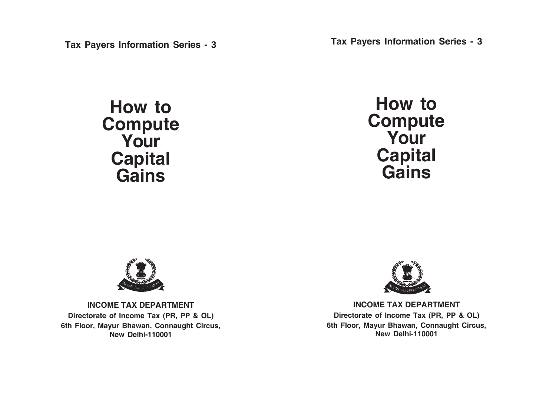**Tax Payers Information Series - 3**

**How to Compute Your Capital Gains**

**Tax Payers Information Series - 3**

**How to Compute Your Capital Gains**



**INCOME TAX DEPARTMENT Directorate of Income Tax (PR, PP & OL) 6th Floor, Mayur Bhawan, Connaught Circus, New Delhi-110001**



**INCOME TAX DEPARTMENT Directorate of Income Tax (PR, PP & OL) 6th Floor, Mayur Bhawan, Connaught Circus, New Delhi-110001**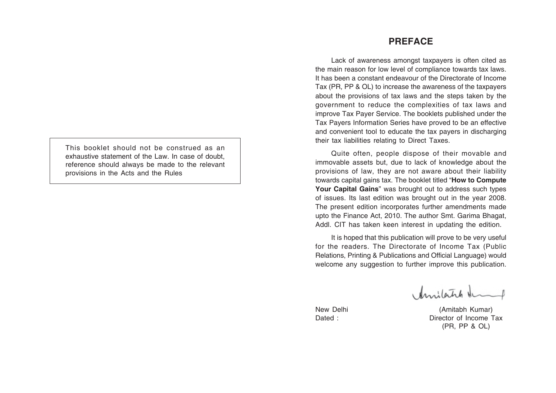This booklet should not be construed as an exhaustive statement of the Law. In case of doubt, reference should always be made to the relevant provisions in the Acts and the Rules

# **PREFACE**

Lack of awareness amongst taxpayers is often cited as the main reason for low level of compliance towards tax laws. It has been a constant endeavour of the Directorate of Income Tax (PR, PP & OL) to increase the awareness of the taxpayers about the provisions of tax laws and the steps taken by the government to reduce the complexities of tax laws and improve Tax Payer Service. The booklets published under the Tax Payers Information Series have proved to be an effective and convenient tool to educate the tax payers in discharging their tax liabilities relating to Direct Taxes.

Quite often, people dispose of their movable and immovable assets but, due to lack of knowledge about the provisions of law, they are not aware about their liability towards capital gains tax. The booklet titled "**How to Compute Your Capital Gains**" was brought out to address such types of issues. Its last edition was brought out in the year 2008. The present edition incorporates further amendments made upto the Finance Act, 2010. The author Smt. Garima Bhagat, Addl. CIT has taken keen interest in updating the edition.

It is hoped that this publication will prove to be very useful for the readers. The Directorate of Income Tax (Public Relations, Printing & Publications and Official Language) would welcome any suggestion to further improve this publication.

Amilatich demp

New Delhi (Amitabh Kumar) Dated : Director of Income Tax (PR, PP & OL)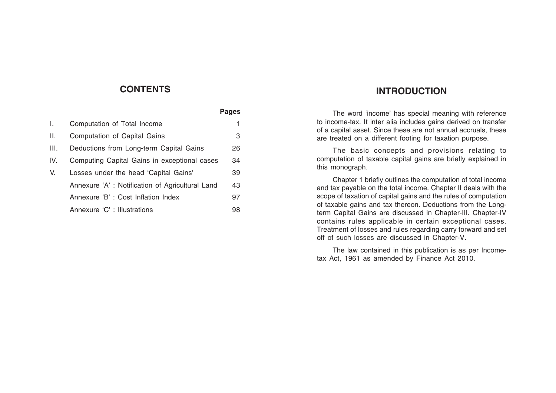# **CONTENTS**

|     |                                                 | Pages |
|-----|-------------------------------------------------|-------|
| I.  | Computation of Total Income                     |       |
| II. | Computation of Capital Gains                    | 3     |
| Ш.  | Deductions from Long-term Capital Gains         | 26    |
| IV. | Computing Capital Gains in exceptional cases    | 34    |
| V.  | Losses under the head 'Capital Gains'           | 39    |
|     | Annexure 'A': Notification of Agricultural Land | 43    |
|     | Annexure 'B': Cost Inflation Index              | 97    |
|     | Annexure 'C' : Illustrations                    | 98    |

# **INTRODUCTION**

The word 'income' has special meaning with reference to income-tax. It inter alia includes gains derived on transfer of a capital asset. Since these are not annual accruals, these are treated on a different footing for taxation purpose.

The basic concepts and provisions relating to computation of taxable capital gains are briefly explained in this monograph.

Chapter 1 briefly outlines the computation of total income and tax payable on the total income. Chapter II deals with the scope of taxation of capital gains and the rules of computation of taxable gains and tax thereon. Deductions from the Longterm Capital Gains are discussed in Chapter-III. Chapter-IV contains rules applicable in certain exceptional cases. Treatment of losses and rules regarding carry forward and set off of such losses are discussed in Chapter-V.

The law contained in this publication is as per Incometax Act, 1961 as amended by Finance Act 2010.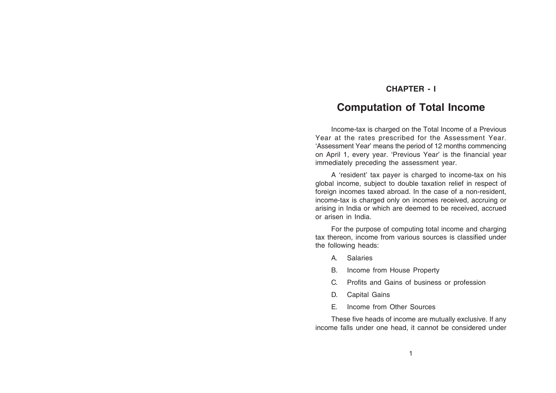# **CHAPTER - I**

# **Computation of Total Income**

Income-tax is charged on the Total Income of a Previous Year at the rates prescribed for the Assessment Year. 'Assessment Year' means the period of 12 months commencing on April 1, every year. 'Previous Year' is the financial year immediately preceding the assessment year.

A 'resident' tax payer is charged to income-tax on his global income, subject to double taxation relief in respect of foreign incomes taxed abroad. In the case of a non-resident, income-tax is charged only on incomes received, accruing or arising in India or which are deemed to be received, accrued or arisen in India.

For the purpose of computing total income and charging tax thereon, income from various sources is classified under the following heads:

- A. Salaries
- B. Income from House Property
- C. Profits and Gains of business or profession
- D. Capital Gains
- E. Income from Other Sources

These five heads of income are mutually exclusive. If any income falls under one head, it cannot be considered under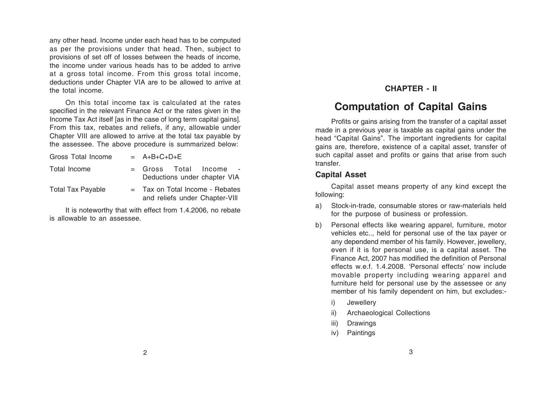any other head. Income under each head has to be computed as per the provisions under that head. Then, subject to provisions of set off of losses between the heads of income, the income under various heads has to be added to arrive at a gross total income. From this gross total income, deductions under Chapter VIA are to be allowed to arrive at the total income.

On this total income tax is calculated at the rates specified in the relevant Finance Act or the rates given in the Income Tax Act itself [as in the case of long term capital gains]. From this tax, rebates and reliefs, if any, allowable under Chapter VIII are allowed to arrive at the total tax payable by the assessee. The above procedure is summarized below:

| Gross Total Income       | $= A+B+C+D+E$                                                       |  |
|--------------------------|---------------------------------------------------------------------|--|
| Total Income             | = Gross Total Income<br>Deductions under chapter VIA                |  |
| <b>Total Tax Payable</b> | $=$ Tax on Total Income - Rebates<br>and reliefs under Chapter-VIII |  |

It is noteworthy that with effect from 1.4.2006, no rebate is allowable to an assessee.

# **CHAPTER - II**

# **Computation of Capital Gains**

Profits or gains arising from the transfer of a capital asset made in a previous year is taxable as capital gains under the head "Capital Gains". The important ingredients for capital gains are, therefore, existence of a capital asset, transfer of such capital asset and profits or gains that arise from such transfer.

## **Capital Asset**

Capital asset means property of any kind except the following:

- a) Stock-in-trade, consumable stores or raw-materials held for the purpose of business or profession.
- b) Personal effects like wearing apparel, furniture, motor vehicles etc.., held for personal use of the tax payer or any dependend member of his family. However, jewellery, even if it is for personal use, is a capital asset. The Finance Act, 2007 has modified the definition of Personal effects w.e.f. 1.4.2008. 'Personal effects' now include movable property including wearing apparel and furniture held for personal use by the assessee or any member of his family dependent on him, but excludes:
	- i) Jewellery
	- ii) Archaeological Collections
	- iii) Drawings
	- iv) Paintings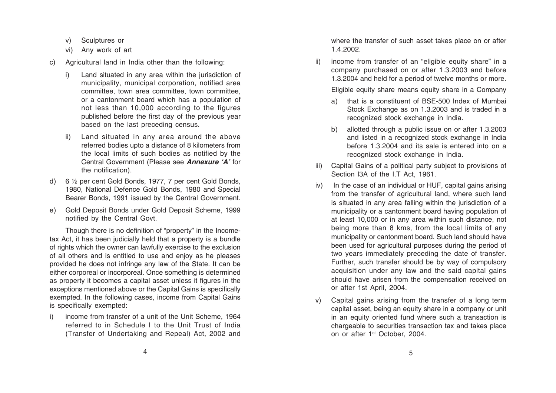- v) Sculptures or
- vi) Any work of art
- c) Agricultural land in India other than the following:
	- i) Land situated in any area within the jurisdiction of municipality, municipal corporation, notified area committee, town area committee, town committee, or a cantonment board which has a population of not less than 10,000 according to the figures published before the first day of the previous year based on the last preceding census.
	- ii) Land situated in any area around the above referred bodies upto a distance of 8 kilometers from the local limits of such bodies as notified by the Central Government (Please see *Annexure 'A'* for the notification).
- d) 6 ½ per cent Gold Bonds, 1977, 7 per cent Gold Bonds, 1980, National Defence Gold Bonds, 1980 and Special Bearer Bonds, 1991 issued by the Central Government.
- e) Gold Deposit Bonds under Gold Deposit Scheme, 1999 notified by the Central Govt.

Though there is no definition of "property" in the Incometax Act, it has been judicially held that a property is a bundle of rights which the owner can lawfully exercise to the exclusion of all others and is entitled to use and enjoy as he pleases provided he does not infringe any law of the State. It can be either corporeal or incorporeal. Once something is determined as property it becomes a capital asset unless it figures in the exceptions mentioned above or the Capital Gains is specifically exempted. In the following cases, income from Capital Gains is specifically exempted:

i) income from transfer of a unit of the Unit Scheme, 1964 referred to in Schedule I to the Unit Trust of India (Transfer of Undertaking and Repeal) Act, 2002 and

where the transfer of such asset takes place on or after 1.4.2002.

ii) income from transfer of an "eligible equity share" in a company purchased on or after 1.3.2003 and before 1.3.2004 and held for a period of twelve months or more.

Eligible equity share means equity share in a Company

- a) that is a constituent of BSE-500 Index of Mumbai Stock Exchange as on 1.3.2003 and is traded in a recognized stock exchange in India.
- b) allotted through a public issue on or after 1.3.2003 and listed in a recognized stock exchange in India before 1.3.2004 and its sale is entered into on a recognized stock exchange in India.
- iii) Capital Gains of a political party subject to provisions of Section I3A of the I.T Act, 1961.
- iv) In the case of an individual or HUF, capital gains arising from the transfer of agricultural land, where such land is situated in any area falling within the jurisdiction of a municipality or a cantonment board having population of at least 10,000 or in any area within such distance, not being more than 8 kms, from the local limits of any municipality or cantonment board. Such land should have been used for agricultural purposes during the period of two years immediately preceding the date of transfer. Further, such transfer should be by way of compulsory acquisition under any law and the said capital gains should have arisen from the compensation received on or after 1st April, 2004.
- v) Capital gains arising from the transfer of a long term capital asset, being an equity share in a company or unit in an equity oriented fund where such a transaction is chargeable to securities transaction tax and takes place on or after 1<sup>st</sup> October, 2004.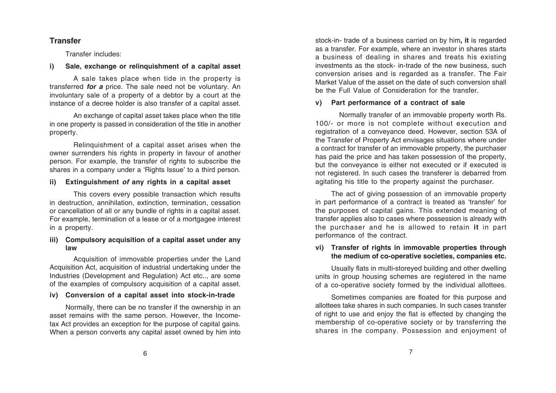# **Transfer**

Transfer includes:

## **i) Sale, exchange or relinquishment of a capital asset**

A sale takes place when tide in the property is transferred *for a* price. The sale need not be voluntary. An involuntary sale of a property of a debtor by a court at the instance of a decree holder is also transfer of a capital asset.

An exchange of capital asset takes place when the title in one property is passed in consideration of the title in another property.

Relinquishment of a capital asset arises when the owner surrenders his rights in property in favour of another person. For example, the transfer of rights to subscribe the shares in a company under a 'Rights Issue' to a third person.

## **ii) Extinguishment** *of* **any rights in a capital asset**

This covers every possible transaction which results in destruction, annihilation, extinction, termination, cessation or cancellation of all or any bundle of rights in a capital asset. For example, termination of a lease or of a mortgagee interest in a property.

## **iii) Compulsory acquisition of a capital asset under any law**

Acquisition of immovable properties under the Land Acquisition Act, acquisition of industrial undertaking under the Industries (Development and Regulation) Act etc.., are some of the examples of compulsory acquisition of a capital asset.

## **iv) Conversion of a capital asset into stock-in-trade**

Normally, there can be no transfer if the ownership in an asset remains with the same person. However, the Incometax Act provides an exception for the purpose of capital gains. When a person converts any capital asset owned by him into

stock-in- trade of a business carried on by him**, it** is regarded as a transfer. For example, where an investor in shares starts a business of dealing in shares and treats his existing investments as the stock- in-trade of the new business, such conversion arises and is regarded as a transfer. The Fair Market Value of the asset on the date of such conversion shall be the Full Value of Consideration for the transfer.

## **v) Part performance of a contract of sale**

Normally transfer of an immovable property worth Rs. 100/- or more is not complete without execution and registration of a conveyance deed. However, section 53A of the Transfer of Property Act envisages situations where under a contract for transfer of an immovable property, the purchaser has paid the price and has taken possession of the property, but the conveyance is either not executed or if executed is not registered. In such cases the transferer is debarred from agitating his title to the property against the purchaser.

The act of giving possession of an immovable property in part performance of a contract is treated as 'transfer' for the purposes of capital gains. This extended meaning of transfer applies also to cases where possession is already with the purchaser and he is allowed to retain **it** in part performance of the contract.

## **vi) Transfer of rights in immovable properties through the medium of co-operative societies, companies etc.**

Usually flats in multi-storeyed building and other dwelling units in group housing schemes are registered in the name of a co-operative society formed by the individual allottees.

Sometimes companies are floated for this purpose and allottees take shares in such companies. In such cases transfer of right to use and enjoy the flat is effected by changing the membership of co-operative society or by transferring the shares in the company. Possession and enjoyment of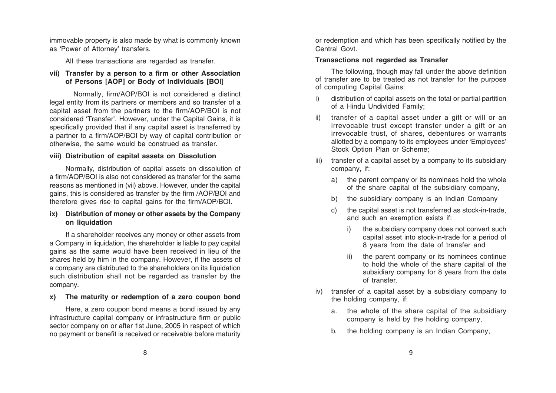immovable property is also made by what is commonly known as 'Power of Attorney' transfers.

All these transactions are regarded as transfer.

### **vii) Transfer by a person to a firm or other Association of Persons [AOP] or Body of Individuals [BOl]**

Normally, firm/AOP/BOI is not considered a distinct legal entity from its partners or members and so transfer of a capital asset from the partners to the firm/AOP/BOI is not considered 'Transfer'. However, under the Capital Gains, it is specifically provided that if any capital asset is transferred by a partner to a firm/AOP/BOI by way of capital contribution or otherwise, the same would be construed as transfer.

#### **viii) Distribution of capital assets on Dissolution**

Normally, distribution of capital assets on dissolution of a firm/AOP/BOI is also not considered as transfer for the same reasons as mentioned in (vii) above. However, under the capital gains, this is considered as transfer by the firm /AOP/BOI and therefore gives rise to capital gains for the firm/AOP/BOI.

#### **ix) Distribution of money or other assets by the Company on liquidation**

If a shareholder receives any money or other assets from a Company in liquidation, the shareholder is liable to pay capital gains as the same would have been received in lieu of the shares held by him in the company. However, if the assets of a company are distributed to the shareholders on its liquidation such distribution shall not be regarded as transfer by the company.

#### **x) The maturity or redemption of a zero coupon bond**

Here, a zero coupon bond means a bond issued by any infrastructure capital company or infrastructure firm or public sector company on or after 1st June, 2005 in respect of which no payment or benefit is received or receivable before maturity or redemption and which has been specifically notified by the Central Govt.

#### **Transactions not regarded as Transfer**

The following, though may fall under the above definition of transfer are to be treated as not transfer for the purpose of computing Capital Gains:

- i) distribution of capital assets on the total or partial partition of a Hindu Undivided Family;
- ii) transfer of a capital asset under a gift or will or an irrevocable trust except transfer under a gift or an irrevocable trust, of shares, debentures or warrants allotted by a company to its employees under 'Employees' Stock Option Plan or Scheme;
- iii) transfer of a capital asset by a company to its subsidiary company, if:
	- a) the parent company or its nominees hold the whole of the share capital of the subsidiary company,
	- b) the subsidiary company is an Indian Company
	- c) the capital asset is not transferred as stock-in-trade, and such an exemption exists if:
		- i) the subsidiary company does not convert such capital asset into stock-in-trade for a period of 8 years from the date of transfer and
		- ii) the parent company or its nominees continue to hold the whole of the share capital of the subsidiary company for 8 years from the date of transfer.
- iv) transfer of a capital asset by a subsidiary company to the holding company, if:
	- a. the whole of the share capital of the subsidiary company is held by the holding company,
	- b. the holding company is an Indian Company,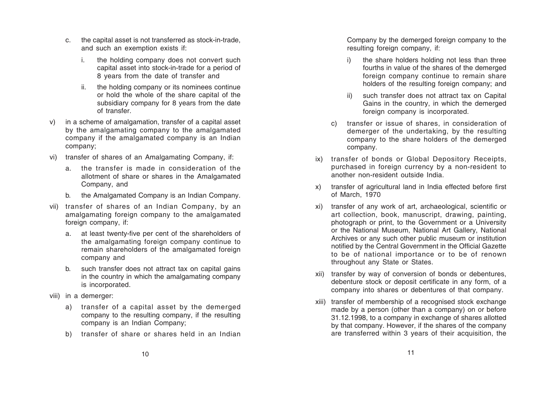- c. the capital asset is not transferred as stock-in-trade, and such an exemption exists if:
	- i. the holding company does not convert such capital asset into stock-in-trade for a period of 8 years from the date of transfer and
	- ii. the holding company or its nominees continue or hold the whole of the share capital of the subsidiary company for 8 years from the date of transfer.
- v) in a scheme of amalgamation, transfer of a capital asset by the amalgamating company to the amalgamated company if the amalgamated company is an Indian company;
- vi) transfer of shares of an Amalgamating Company, if:
	- a. the transfer is made in consideration of the allotment of share or shares in the Amalgamated Company, and
	- b. the Amalgamated Company is an Indian Company.
- vii) transfer of shares of an Indian Company, by an amalgamating foreign company to the amalgamated foreign company, if:
	- a. at least twenty-five per cent of the shareholders of the amalgamating foreign company continue to remain shareholders of the amalgamated foreign company and
	- b. such transfer does not attract tax on capital gains in the country in which the amalgamating company is incorporated.
- viii) in a demerger:
	- a) transfer of a capital asset by the demerged company to the resulting company, if the resulting company is an Indian Company;
	- b) transfer of share or shares held in an Indian

Company by the demerged foreign company to the resulting foreign company, if:

- the share holders holding not less than three fourths in value of the shares of the demerged foreign company continue to remain share holders of the resulting foreign company; and
- ii) such transfer does not attract tax on Capital Gains in the country, in which the demerged foreign company is incorporated.
- c) transfer or issue of shares, in consideration of demerger of the undertaking, by the resulting company to the share holders of the demerged company.
- ix) transfer of bonds or Global Depository Receipts, purchased in foreign currency by a non-resident to another non-resident outside India.
- x) transfer of agricultural land in India effected before first of March, 1970
- xi) transfer of any work of art, archaeological, scientific or art collection, book, manuscript, drawing, painting, photograph or print, to the Government or a University or the National Museum, National Art Gallery, National Archives or any such other public museum or institution notified by the Central Government in the Official Gazette to be of national importance or to be of renown throughout any State or States.
- xii) transfer by way of conversion of bonds or debentures, debenture stock or deposit certificate in any form, of a company into shares or debentures of that company.
- xiii) transfer of membership of a recognised stock exchange made by a person (other than a company) on or before 31.12.1998, to a company in exchange of shares allotted by that company. However, if the shares of the company are transferred within 3 years of their acquisition, the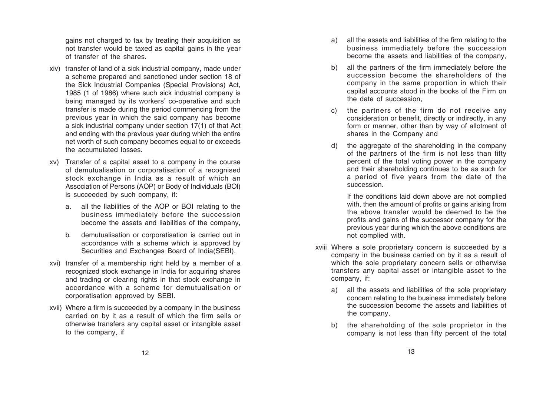gains not charged to tax by treating their acquisition as not transfer would be taxed as capital gains in the year of transfer of the shares.

- xiv) transfer of land of a sick industrial company, made under a scheme prepared and sanctioned under section 18 of the Sick Industrial Companies (Special Provisions) Act, 1985 (1 of 1986) where such sick industrial company is being managed by its workers' co-operative and such transfer is made during the period commencing from the previous year in which the said company has become a sick industrial company under section 17(1) of that Act and ending with the previous year during which the entire net worth of such company becomes equal to or exceeds the accumulated losses.
- xv) Transfer of a capital asset to a company in the course of demutualisation or corporatisation of a recognised stock exchange in India as a result of which an Association of Persons (AOP) or Body of Individuals (BOl) is succeeded by such company, if:
	- a. all the liabilities of the AOP or BOI relating to the business immediately before the succession become the assets and liabilities of the company,
	- b. demutualisation or corporatisation is carried out in accordance with a scheme which is approved by Securities and Exchanges Board of India(SEBI).
- xvi) transfer of a membership right held by a member of a recognized stock exchange in India for acquiring shares and trading or clearing rights in that stock exchange in accordance with a scheme for demutualisation or corporatisation approved by SEBI.
- xvii) Where a firm is succeeded by a company in the business carried on by it as a result of which the firm sells or otherwise transfers any capital asset or intangible asset to the company, if
- a) all the assets and liabilities of the firm relating to the business immediately before the succession become the assets and liabilities of the company,
- b) all the partners of the firm immediately before the succession become the shareholders of the company in the same proportion in which their capital accounts stood in the books of the Firm on the date of succession,
- c) the partners of the firm do not receive any consideration or benefit, directly or indirectly, in any form or manner, other than by way of allotment of shares in the Company and
- d) the aggregate of the shareholding in the company of the partners of the firm is not less than fifty percent of the total voting power in the company and their shareholding continues to be as such for a period of five years from the date of the succession.

If the conditions laid down above are not complied with, then the amount of profits or gains arising from the above transfer would be deemed to be the profits and gains of the successor company for the previous year during which the above conditions are not complied with.

- xviii Where a sole proprietary concern is succeeded by a company in the business carried on by it as a result of which the sole proprietary concern sells or otherwise transfers any capital asset or intangible asset to the company, if:
	- a) all the assets and liabilities of the sole proprietary concern relating to the business immediately before the succession become the assets and liabilities of the company,
	- b) the shareholding of the sole proprietor in the company is not less than fifty percent of the total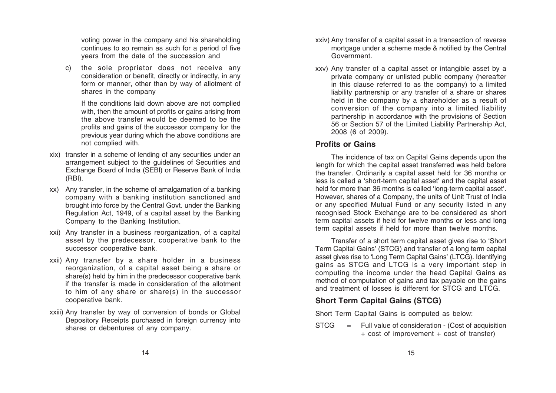voting power in the company and his shareholding continues to so remain as such for a period of five years from the date of the succession and

c) the sole proprietor does not receive any consideration or benefit, directly or indirectly, in any form or manner, other than by way of allotment of shares in the company

If the conditions laid down above are not complied with, then the amount of profits or gains arising from the above transfer would be deemed to be the profits and gains of the successor company for the previous year during which the above conditions are not complied with.

- xix) transfer in a scheme of lending of any securities under an arrangement subject to the guidelines of Securities and Exchange Board of India (SEBI) or Reserve Bank of India (RBI).
- xx) Any transfer, in the scheme of amalgamation of a banking company with a banking institution sanctioned and brought into force by the Central Govt. under the Banking Regulation Act, 1949, of a capital asset by the Banking Company to the Banking Institution.
- xxi) Any transfer in a business reorganization, of a capital asset by the predecessor, cooperative bank to the successor cooperative bank.
- xxii) Any transfer by a share holder in a business reorganization, of a capital asset being a share or share(s) held by him in the predecessor cooperative bank if the transfer is made in consideration of the allotment to him of any share or share(s) in the successor cooperative bank.
- xxiii) Any transfer by way of conversion of bonds or Global Depository Receipts purchased in foreign currency into shares or debentures of any company.
- xxiv) Any transfer of a capital asset in a transaction of reverse mortgage under a scheme made & notified by the Central Government.
- xxv) Any transfer of a capital asset or intangible asset by a private company or unlisted public company (hereafter in this clause referred to as the company) to a limited liability partnership or any transfer of a share or shares held in the company by a shareholder as a result of conversion of the company into a limited liability partnership in accordance with the provisions of Section 56 or Section 57 of the Limited Liability Partnership Act, 2008 (6 of 2009).

## **Profits or Gains**

The incidence of tax on Capital Gains depends upon the length for which the capital asset transferred was held before the transfer. Ordinarily a capital asset held for 36 months or less is called a 'short-term capital asset' and the capital asset held for more than 36 months is called 'long-term capital asset'. However, shares of a Company, the units of Unit Trust of India or any specified Mutual Fund or any security listed in any recognised Stock Exchange are to be considered as short term capital assets if held for twelve months or less and long term capital assets if held for more than twelve months.

Transfer of a short term capital asset gives rise to 'Short Term Capital Gains' (STCG) and transfer of a long term capital asset gives rise to 'Long Term Capital Gains' (LTCG). Identifying gains as STCG and LTCG is a very important step in computing the income under the head Capital Gains as method of computation of gains and tax payable on the gains and treatment of losses is different for STCG and LTCG.

# **Short Term Capital Gains (STCG)**

Short Term Capital Gains is computed as below:

STCG <sup>=</sup> Full value of consideration - (Cost of acquisition + cost of improvement + cost of transfer)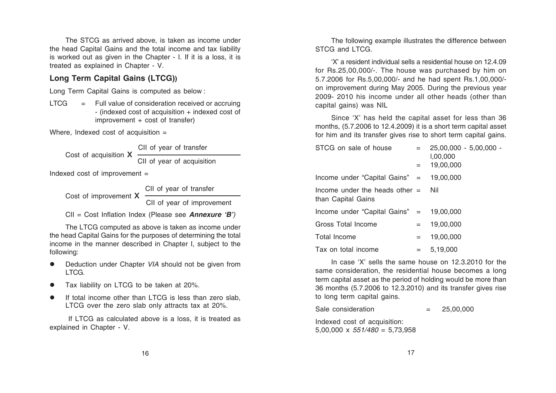The STCG as arrived above, is taken as income under the head Capital Gains and the total income and tax liability is worked out as given in the Chapter - I. If it is a loss, it is treated as explained in Chapter - V.

## **Long Term Capital Gains (LTCG))**

Long Term Capital Gains is computed as below :

 $LTCG =$  Full value of consideration received or accruing - (indexed cost of acquisition + indexed cost of improvement + cost of transfer)

Where, Indexed cost of acquisition  $=$ 

Cost of acquisition X

 CII of year of transfer CII of year of acquisition

Indexed cost of improvement  $=$ 

CII of year of transfer

Cost of improvement **X** 

CII of year of improvement

CII = Cost Inflation Index (Please see *Annexure 'B')*

The LTCG computed as above is taken as income under the head Capital Gains for the purposes of determining the total income in the manner described in Chapter I, subject to the following:

- z Deduction under Chapter *VIA* should not be given from LTCG.
- zTax liability on LTCG to be taken at 20%.
- $\bullet$  If total income other than LTCG is less than zero slab, LTCG over the zero slab only attracts tax at 20%.

 If LTCG as calculated above is a loss, it is treated as explained in Chapter - V.

The following example illustrates the difference between STCG and LTCG.

'X' a resident individual sells a residential house on 12.4.09 for Rs.25,00,000/-. The house was purchased by him on 5.7.2006 for Rs.5,00,000/- and he had spent Rs.1,00,000/ on improvement during May 2005. During the previous year 2009- 2010 his income under all other heads (other than capital gains) was NIL

Since 'X' has held the capital asset for less than 36 months, (5.7.2006 to 12.4.2009) it is a short term capital asset for him and its transfer gives rise to short term capital gains.

| STCG on sale of house                                      | $=$ $-$ | 25,00,000 - 5,00,000 -<br>1,00,000 |
|------------------------------------------------------------|---------|------------------------------------|
|                                                            | $=$ $-$ | 19,00,000                          |
| Income under "Capital Gains" $=$ 19,00,000                 |         |                                    |
| Income under the heads other $=$ Nil<br>than Capital Gains |         |                                    |
| Income under "Capital Gains" $=$ 19,00,000                 |         |                                    |
| Gross Total Income                                         | $=$ $-$ | 19.00.000                          |
| <b>Total Income</b>                                        | $=$     | 19.00.000                          |
| Tax on total income                                        | $=$ $-$ | 5,19,000                           |

In case 'X' sells the same house on 12.3.2010 for the same consideration, the residential house becomes a long term capital asset as the period of holding would be more than 36 months (5.7.2006 to 12.3.2010) and its transfer gives rise to long term capital gains.

Sale consideration  $= 25,00,000$ 

Indexed cost of acquisition: 5,00,000 x *551/480* = 5,73,958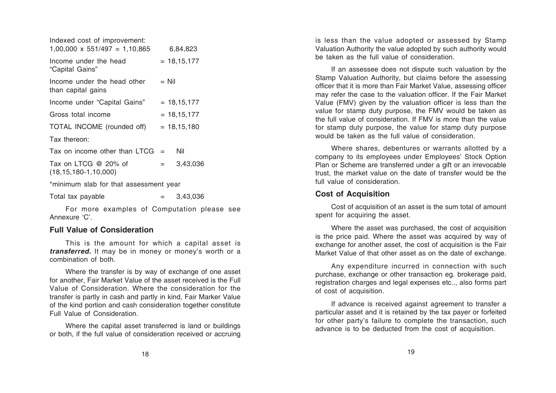| Indexed cost of improvement:<br>$1,00,000 \times 551/497 = 1,10,865$ |  | 6,84,823            |  |  |  |
|----------------------------------------------------------------------|--|---------------------|--|--|--|
| Income under the head<br>"Capital Gains"                             |  | $= 18,15,177$       |  |  |  |
| Income under the head other<br>than capital gains                    |  | $=$ Nil             |  |  |  |
| Income under "Capital Gains"                                         |  | $= 18,15,177$       |  |  |  |
| Gross total income                                                   |  | $= 18,15,177$       |  |  |  |
| TOTAL INCOME (rounded off)                                           |  | $= 18,15,180$       |  |  |  |
| Tax thereon:                                                         |  |                     |  |  |  |
| Tax on income other than $LTCG =$                                    |  | Nil                 |  |  |  |
| Tax on LTCG @ 20% of<br>$(18, 15, 180 - 1, 10, 000)$                 |  | 3,43,036<br>$=$ $-$ |  |  |  |
| *minimum slab for that assessment year                               |  |                     |  |  |  |
| Total tax pavable                                                    |  | 3.43.036            |  |  |  |

For more examples of Computation please see Annexure 'C'.

## **Full Value of Consideration**

This is the amount for which a capital asset is *transferred.* It may be in money or money's worth or a combination of both.

Where the transfer is by way of exchange of one asset for another, Fair Market Value of the asset received is the Full Value of Consideration. Where the consideration for the transfer is partly in cash and partly in kind, Fair Marker Value of the kind portion and cash consideration together constitute Full Value of Consideration.

Where the capital asset transferred is land or buildings or both, if the full value of consideration received or accruing is less than the value adopted or assessed by Stamp Valuation Authority the value adopted by such authority would be taken as the full value of consideration.

If an assessee does not dispute such valuation by the Stamp Valuation Authority, but claims before the assessing officer that it is more than Fair Market Value, assessing officer may refer the case to the valuation officer. If the Fair Market Value (FMV) given by the valuation officer is less than the value for stamp duty purpose, the FMV would be taken as the full value of consideration. If FMV is more than the value for stamp duty purpose, the value for stamp duty purpose would be taken as the full value of consideration.

Where shares, debentures or warrants allotted by a company to its employees under Employees' Stock Option Plan or Scheme are transferred under a gift or an irrevocable trust, the market value on the date of transfer would be the full value of consideration.

## **Cost of Acquisition**

Cost of acquisition of an asset is the sum total of amount spent for acquiring the asset.

Where the asset was purchased, the cost of acquisition is the price paid. Where the asset was acquired by way of exchange for another asset, the cost of acquisition is the Fair Market Value of that other asset as on the date of exchange.

Any expenditure incurred in connection with such purchase, exchange or other transaction eg. brokerage paid, registration charges and legal expenses etc.., also forms part of cost of acquisition.

If advance is received against agreement to transfer a particular asset and it is retained by the tax payer or forfeited for other party's failure to complete the transaction, such advance is to be deducted from the cost of acquisition.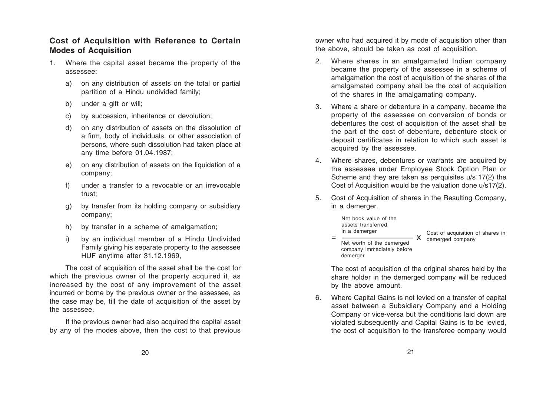## **Cost of Acquisition with Reference to Certain Modes of Acquisition**

- 1. Where the capital asset became the property of the assessee:
	- a) on any distribution of assets on the total or partial partition of a Hindu undivided family;
	- b) under a gift or will;
	- c) by succession, inheritance or devolution;
	- d) on any distribution of assets on the dissolution of a firm, body of individuals, or other association of persons, where such dissolution had taken place at any time before 01.04.1987;
	- e) on any distribution of assets on the liquidation of a company;
	- f) under a transfer to a revocable or an irrevocable trust;
	- g) by transfer from its holding company or subsidiary company;
	- h) by transfer in a scheme of amalgamation;
	- i) by an individual member of a Hindu Undivided Family giving his separate property to the assessee HUF anytime after 31.12.1969,

The cost of acquisition of the asset shall be the cost for which the previous owner of the property acquired it, as increased by the cost of any improvement of the asset incurred or borne by the previous owner or the assessee, as the case may be, till the date of acquisition of the asset by the assessee.

If the previous owner had also acquired the capital asset by any of the modes above, then the cost to that previous

owner who had acquired it by mode of acquisition other than the above, should be taken as cost of acquisition.

- 2. Where shares in an amalgamated Indian company became the property of the assessee in a scheme of amalgamation the cost of acquisition of the shares of the amalgamated company shall be the cost of acquisition of the shares in the amalgamating company.
- 3. Where a share or debenture in a company, became the property of the assessee on conversion of bonds or debentures the cost of acquisition of the asset shall be the part of the cost of debenture, debenture stock or deposit certificates in relation to which such asset is acquired by the assessee.
- 4. Where shares, debentures or warrants are acquired by the assessee under Employee Stock Option Plan or Scheme and they are taken as perquisites u/s 17(2) the Cost of Acquisition would be the valuation done u/s17(2).
- 5. Cost of Acquisition of shares in the Resulting Company, in a demerger.



The cost of acquisition of the original shares held by the share holder in the demerged company will be reduced by the above amount.

6. Where Capital Gains is not levied on a transfer of capital asset between a Subsidiary Company and a Holding Company or vice-versa but the conditions laid down are violated subsequently and Capital Gains is to be levied, the cost of acquisition to the transferee company would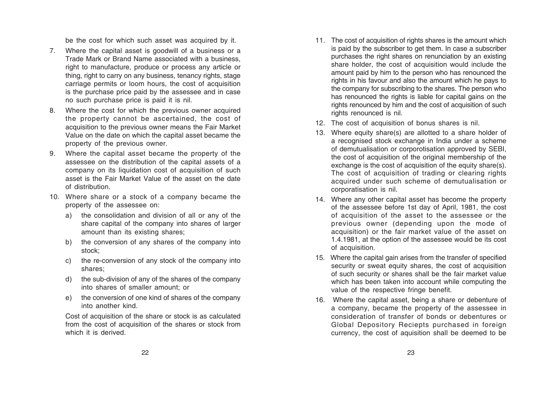be the cost for which such asset was acquired by it.

- 7. Where the capital asset is goodwill of a business or a Trade Mark or Brand Name associated with a business, right to manufacture, produce or process any article or thing, right to carry on any business, tenancy rights, stage carriage permits or loom hours, the cost of acquisition is the purchase price paid by the assessee and in case no such purchase price is paid it is nil.
- 8. Where the cost for which the previous owner acquired the property cannot be ascertained, the cost of acquisition to the previous owner means the Fair Market Value on the date on which the capital asset became the property of the previous owner.
- 9. Where the capital asset became the property of the assessee on the distribution of the capital assets of a company on its liquidation cost of acquisition of such asset is the Fair Market Value of the asset on the date of distribution.
- 10. Where share or a stock of a company became the property of the assessee on:
	- a) the consolidation and division of all or any of the share capital of the company into shares of larger amount than its existing shares;
	- b) the conversion of any shares of the company into stock;
	- c) the re-conversion of any stock of the company into shares;
	- d) the sub-division of any of the shares of the company into shares of smaller amount; or
	- e) the conversion of one kind of shares of the company into another kind.

Cost of acquisition of the share or stock is as calculated from the cost of acquisition of the shares or stock from which it is derived.

- 11. The cost of acquisition of rights shares is the amount which is paid by the subscriber to get them. In case a subscriber purchases the right shares on renunciation by an existing share holder, the cost of acquisition would include the amount paid by him to the person who has renounced the rights in his favour and also the amount which he pays to the company for subscribing to the shares. The person who has renounced the rights is liable for capital gains on the rights renounced by him and the cost of acquisition of such rights renounced is nil.
- 12. The cost of acquisition of bonus shares is nil.
- 13. Where equity share(s) are allotted to a share holder of a recognised stock exchange in India under a scheme of demutualisation or corporotisation approved by SEBI, the cost of acquisition of the original membership of the exchange is the cost of acquisition of the equity share(s). The cost of acquisition of trading or clearing rights acquired under such scheme of demutualisation or corporatisation is nil.
- 14. Where any other capital asset has become the property of the assessee before 1st day of April, 1981, the cost of acquisition of the asset to the assessee or the previous owner (depending upon the mode of acquisition) or the fair market value of the asset on 1.4.1981, at the option of the assessee would be its cost of acquisition.
- 15. Where the capital gain arises from the transfer of specified security or sweat equity shares, the cost of acquisition of such security or shares shall be the fair market value which has been taken into account while computing the value of the respective fringe benefit.
- 16. Where the capital asset, being a share or debenture of a company, became the property of the assessee in consideration of transfer of bonds or debentures or Global Depository Reciepts purchased in foreign currency, the cost of aquisition shall be deemed to be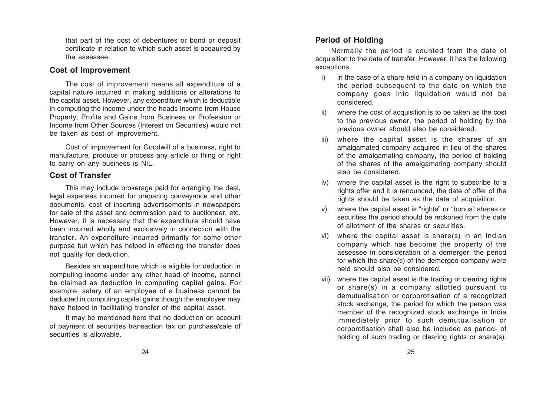that part of the cost of debentures or bond or deposit certificate in relation to which such asset is acqauired by the assessee.

## **Cost of Improvement**

The cost of improvement means all expenditure of a capital nature incurred in making additions or alterations to the capital asset. However, any expenditure which is deductible in computing the income under the heads Income from House Property, Profits and Gains from Business or Profession or Income from Other Sources (Interest on Securities) would not be taken as cost of improvement.

Cost of improvement for Goodwill of a business, right to manufacture, produce or process any article or thing or right to carry on any business is NIL.

# **Cost of Transfer**

This may include brokerage paid for arranging the deal. legal expenses incurred for preparing conveyance and other documents, cost of inserting advertisements in newspapers for sale of the asset and commission paid to auctioneer, etc. However, it is necessary that the expenditure should have been incurred wholly and exclusively in connection with the transfer. An expenditure incurred primarily for some other purpose but which has helped in effecting the transfer does not qualify for deduction.

Besides an expenditure which is eligible for deduction in computing income under any other head of income, cannot be claimed as deduction in computing capital gains. For example, salary of an employee of a business cannot be deducted in computing capital gains though the employee may have helped in facilitating transfer of the capital asset.

It may be mentioned here that no deduction on account of payment of securities transaction tax on purchase/sale of securities is allowable.

# **Period of Holding**

Normally the period is counted from the date of acquisition to the date of transfer. However, it has the following exceptions.

- i) in the case of a share held in a company on liquidation the period subsequent to the date on which the company goes into liquidation would not be considered.
- where the cost of acquisition is to be taken as the cost to the previous owner, the period of holding by the previous owner should also be considered.
- iii) where the capital asset is the shares of an amalgamated company acquired in lieu of the shares of the amalgamating company, the period of holding of the shares of the amalgamating company should also be considered.
- iv) where the capital asset is the right to subscribe to a rights offer and it is renounced, the date of offer of the rights should be taken as the date of acquisition.
- v) where the capital asset is "rights" or "bonus" shares or securities the period should be reckoned from the date of allotment of the shares or securities.
- vi) where the capital asset is share(s) in an Indian company which has become the property of the assessee in consideration of a demerger, the period for which the share(s) of the demerged company were held should also be considered.
- vii) where the capital asset is the trading or clearing rights or share(s) in a company allotted pursuant to demutualisation or corporotisation of a recognized stock exchange, the period for which the person was member of the recognized stock exchange in India immediately prior to such demutualisation or corporotisation shall also be included as period- of holding of such trading or clearing rights or share(s).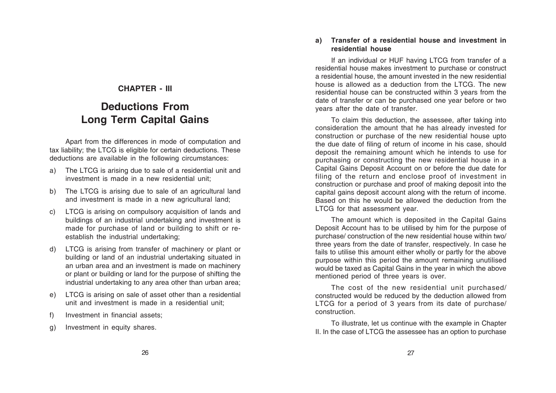# **CHAPTER - III**

# **Deductions From Long Term Capital Gains**

Apart from the differences in mode of computation and tax liability; the LTCG is eligible for certain deductions. These deductions are available in the following circumstances:

- a) The LTCG is arising due to sale of a residential unit and investment is made in a new residential unit;
- b) The LTCG is arising due to sale of an agricultural land and investment is made in a new agricultural land;
- c) LTCG is arising on compulsory acquisition of lands and buildings of an industrial undertaking and investment is made for purchase of land or building to shift or reestablish the industrial undertaking;
- d) LTCG is arising from transfer of machinery or plant or building or land of an industrial undertaking situated in an urban area and an investment is made on machinery or plant or building or land for the purpose of shifting the industrial undertaking to any area other than urban area;
- e) LTCG is arising on sale of asset other than a residential unit and investment is made in a residential unit;
- f) Investment in financial assets;
- g) Investment in equity shares.

### **a) Transfer of a residential house and investment in residential house**

If an individual or HUF having LTCG from transfer of a residential house makes investment to purchase or construct a residential house, the amount invested in the new residential house is allowed as a deduction from the LTCG. The new residential house can be constructed within 3 years from the date of transfer or can be purchased one year before or two years after the date of transfer.

To claim this deduction, the assessee, after taking into consideration the amount that he has already invested for construction or purchase of the new residential house upto the due date of filing of return of income in his case, should deposit the remaining amount which he intends to use for purchasing or constructing the new residential house in a Capital Gains Deposit Account on or before the due date for filing of the return and enclose proof of investment in construction or purchase and proof of making deposit into the capital gains deposit account along with the return of income. Based on this he would be allowed the deduction from the LTCG for that assessment year.

The amount which is deposited in the Capital Gains Deposit Account has to be utilised by him for the purpose of purchase/ construction of the new residential house within two/ three years from the date of transfer, respectively. In case he fails to utilise this amount either wholly or partly for the above purpose within this period the amount remaining unutilised would be taxed as Capital Gains in the year in which the above mentioned period of three years is over.

The cost of the new residential unit purchased/ constructed would be reduced by the deduction allowed from LTCG for a period of 3 years from its date of purchase/ construction.

To illustrate, let us continue with the example in Chapter II. In the case of LTCG the assessee has an option to purchase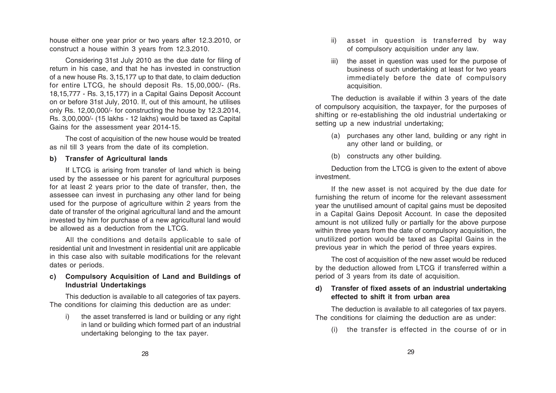house either one year prior or two years after 12.3.2010, or construct a house within 3 years from 12.3.2010.

Considering 31st July 2010 as the due date for filing of return in his case, and that he has invested in construction of a new house Rs. 3,15,177 up to that date, to claim deduction for entire LTCG, he should deposit Rs. 15,00,000/- (Rs. 18,15,777 - Rs. 3,15,177) in a Capital Gains Deposit Account on or before 31st July, 2010. If, out of this amount, he utilises only Rs. 12,00,000/- for constructing the house by 12.3.2014, Rs. 3,00,000/- (15 lakhs - 12 lakhs) would be taxed as Capital Gains for the assessment year 2014-15.

The cost of acquisition of the new house would be treated as nil till 3 years from the date of its completion.

#### **b) Transfer of Agricultural lands**

If LTCG is arising from transfer of land which is being used by the assessee or his parent for agricultural purposes for at least 2 years prior to the date of transfer, then, the assessee can invest in purchasing any other land for being used for the purpose of agriculture within 2 years from the date of transfer of the original agricultural land and the amount invested by him for purchase of a new agricultural land would be allowed as a deduction from the LTCG.

All the conditions and details applicable to sale of residential unit and Investment in residential unit are applicable in this case also with suitable modifications for the relevant dates or periods.

#### **c) Compulsory Acquisition of Land and Buildings of Industrial Undertakings**

This deduction is available to all categories of tax payers. The conditions for claiming this deduction are as under:

i) the asset transferred is land or building or any right in land or building which formed part of an industrial undertaking belonging to the tax payer.

- ii) asset in question is transferred by way of compulsory acquisition under any law.
- iii) the asset in question was used for the purpose of business of such undertaking at least for two years immediately before the date of compulsory acquisition.

The deduction is available if within 3 years of the date of compulsory acquisition, the taxpayer, for the purposes of shifting or re-establishing the old industrial undertaking or setting up a new industrial undertaking;

- (a) purchases any other land, building or any right in any other land or building, or
- (b) constructs any other building.

Deduction from the LTCG is given to the extent of above investment.

If the new asset is not acquired by the due date for furnishing the return of income for the relevant assessment year the unutilised amount of capital gains must be deposited in a Capital Gains Deposit Account. In case the deposited amount is not utilized fully or partially for the above purpose within three years from the date of compulsory acquisition, the unutilized portion would be taxed as Capital Gains in the previous year in which the period of three years expires.

The cost of acquisition of the new asset would be reduced by the deduction allowed from LTCG if transferred within a period of 3 years from its date of acquisition.

#### **d) Transfer of fixed assets of an industrial undertaking effected to shift it from urban area**

The deduction is available to all categories of tax payers. The conditions for claiming the deduction are as under:

(i) the transfer is effected in the course of or in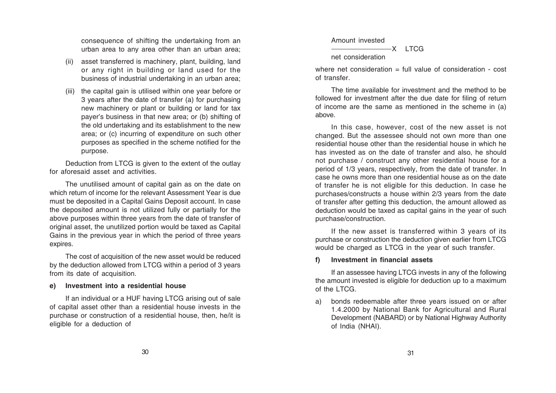consequence of shifting the undertaking from an urban area to any area other than an urban area;

- (ii) asset transferred is machinery, plant, building, land or any right in building or land used for the business of industrial undertaking in an urban area;
- (iii) the capital gain is utilised within one year before or 3 years after the date of transfer (a) for purchasing new machinery or plant or building or land for tax payer's business in that new area; or (b) shifting of the old undertaking and its establishment to the new area; or (c) incurring of expenditure on such other purposes as specified in the scheme notified for the purpose.

Deduction from LTCG is given to the extent of the outlay for aforesaid asset and activities.

The unutilised amount of capital gain as on the date on which return of income for the relevant Assessment Year is due must be deposited in a Capital Gains Deposit account. In case the deposited amount is not utilized fully or partially for the above purposes within three years from the date of transfer of original asset, the unutilized portion would be taxed as Capital Gains in the previous year in which the period of three years expires.

The cost of acquisition of the new asset would be reduced by the deduction allowed from LTCG within a period of 3 years from its date of acquisition.

### **e) Investment into a residential house**

If an individual or a HUF having LTCG arising out of sale of capital asset other than a residential house invests in the purchase or construction of a residential house, then, he/it is eligible for a deduction of

Amount invested

 $-X$  LTCG net consideration

where net consideration  $=$  full value of consideration  $=$  cost of transfer.

The time available for investment and the method to be followed for investment after the due date for filing of return of income are the same as mentioned in the scheme in (a) above.

In this case, however, cost of the new asset is not changed. But the assessee should not own more than one residential house other than the residential house in which he has invested as on the date of transfer and also, he should not purchase / construct any other residential house for a period of 1/3 years, respectively, from the date of transfer. In case he owns more than one residential house as on the date of transfer he is not eligible for this deduction. In case he purchases/constructs a house within 2/3 years from the date of transfer after getting this deduction, the amount allowed as deduction would be taxed as capital gains in the year of such purchase/construction.

If the new asset is transferred within 3 years of its purchase or construction the deduction given earlier from LTCG would be charged as LTCG in the year of such transfer.

#### **f) Investment in financial assets**

If an assessee having LTCG invests in any of the following the amount invested is eligible for deduction up to a maximum of the LTCG.

a) bonds redeemable after three years issued on or after 1.4.2000 by National Bank for Agricultural and Rural Development (NABARD) or by National Highway Authority of India (NHAI).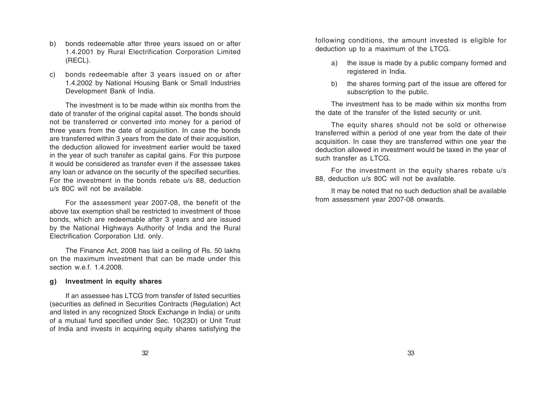- b) bonds redeemable after three years issued on or after 1.4.2001 by Rural Electrification Corporation Limited (RECL).
- c) bonds redeemable after 3 years issued on or after 1.4.2002 by National Housing Bank or Small Industries Development Bank of India.

The investment is to be made within six months from the date of transfer of the original capital asset. The bonds should not be transferred or converted into money for a period of three years from the date of acquisition. In case the bonds are transferred within 3 years from the date of their acquisition, the deduction allowed for investment earlier would be taxed in the year of such transfer as capital gains. For this purpose it would be considered as transfer even if the assessee takes any loan or advance on the security of the specified securities. For the investment in the bonds rebate u/s 88, deduction u/s 80C will not be available.

For the assessment year 2007-08, the benefit of the above tax exemption shall be restricted to investment of those bonds, which are redeemable after 3 years and are issued by the National Highways Authority of India and the Rural Electrification Corporation Ltd. only.

The Finance Act, 2008 has laid a ceiling of Rs. 50 lakhs on the maximum investment that can be made under this section w.e.f. 1.4.2008.

#### **g) Investment in equity shares**

If an assessee has LTCG from transfer of listed securities (securities as defined in Securities Contracts (Regulation) Act and listed in any recognized Stock Exchange in India) or units of a mutual fund specified under Sec. 10(23D) or Unit Trust of India and invests in acquiring equity shares satisfying the following conditions, the amount invested is eligible for deduction up to a maximum of the LTCG.

- a) the issue is made by a public company formed and registered in India.
- b) the shares forming part of the issue are offered for subscription to the public.

The investment has to be made within six months from the date of the transfer of the listed security or unit.

The equity shares should not be sold or otherwise transferred within a period of one year from the date of their acquisition. In case they are transferred within one year the deduction allowed in investment would be taxed in the year of such transfer as LTCG.

For the investment in the equity shares rebate u/s 88, deduction u/s 80C will not be available.

It may be noted that no such deduction shall be available from assessment year 2007-08 onwards.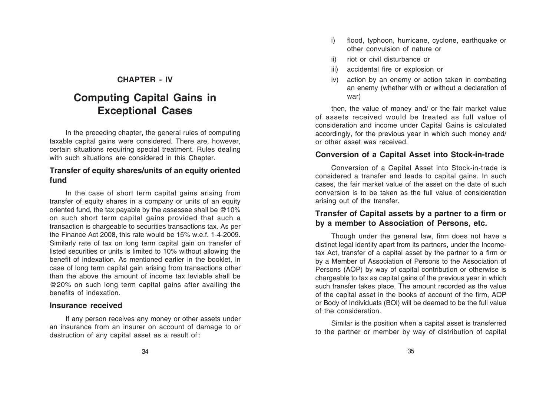## **CHAPTER - IV**

# **Computing Capital Gains in Exceptional Cases**

In the preceding chapter, the general rules of computing taxable capital gains were considered. There are, however, certain situations requiring special treatment. Rules dealing with such situations are considered in this Chapter.

## **Transfer of equity shares/units of an equity oriented fund**

In the case of short term capital gains arising from transfer of equity shares in a company or units of an equity oriented fund, the tax payable by the assessee shall be @10% on such short term capital gains provided that such a transaction is chargeable to securities transactions tax. As per the Finance Act 2008, this rate would be 15% w.e.f. 1-4-2009. Similarly rate of tax on long term capital gain on transfer of listed securities or units is limited to 10% without allowing the benefit of indexation. As mentioned earlier in the booklet, in case of long term capital gain arising from transactions other than the above the amount of income tax leviable shall be @20% on such long term capital gains after availing the benefits of indexation.

#### **Insurance received**

If any person receives any money or other assets under an insurance from an insurer on account of damage to or destruction of any capital asset as a result of :

- i) flood, typhoon, hurricane, cyclone, earthquake or other convulsion of nature or
- ii) riot or civil disturbance or
- iii) accidental fire or explosion or
- iv) action by an enemy or action taken in combating an enemy (whether with or without a declaration of war)

then, the value of money and/ or the fair market value of assets received would be treated as full value of consideration and income under Capital Gains is calculated accordingly, for the previous year in which such money and/ or other asset was received.

# **Conversion of a Capital Asset into Stock-in-trade**

Conversion of a Capital Asset into Stock-in-trade is considered a transfer and leads to capital gains. In such cases, the fair market value of the asset on the date of such conversion is to be taken as the full value of consideration arising out of the transfer.

# **Transfer of Capital assets by a partner to a firm or by a member to Association of Persons, etc.**

Though under the general law, firm does not have a distinct legal identity apart from its partners, under the Incometax Act, transfer of a capital asset by the partner to a firm or by a Member of Association of Persons to the Association of Persons (AOP) by way of capital contribution or otherwise is chargeable to tax as capital gains of the previous year in which such transfer takes place. The amount recorded as the value of the capital asset in the books of account of the firm, AOP or Body of Individuals (BOl) will be deemed to be the full value of the consideration.

Similar is the position when a capital asset is transferred to the partner or member by way of distribution of capital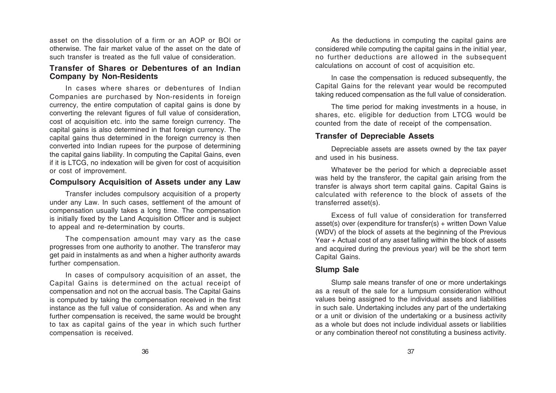asset on the dissolution of a firm or an AOP or BOl or otherwise. The fair market value of the asset on the date of such transfer is treated as the full value of consideration.

## **Transfer of Shares or Debentures of an Indian Company by Non-Residents**

In cases where shares or debentures of Indian Companies are purchased by Non-residents in foreign currency, the entire computation of capital gains is done by converting the relevant figures of full value of consideration, cost of acquisition etc. into the same foreign currency. The capital gains is also determined in that foreign currency. The capital gains thus determined in the foreign currency is then converted into Indian rupees for the purpose of determining the capital gains liability. In computing the Capital Gains, even if it is LTCG, no indexation will be given for cost of acquisition or cost of improvement.

## **Compulsory Acquisition of Assets under any Law**

Transfer includes compulsory acquisition of a property under any Law. In such cases, settlement of the amount of compensation usually takes a long time. The compensation is initially fixed by the Land Acquisition Officer and is subject to appeal and re-determination by courts.

The compensation amount may vary as the case progresses from one authority to another. The transferor may get paid in instalments as and when a higher authority awards further compensation.

In cases of compulsory acquisition of an asset, the Capital Gains is determined on the actual receipt of compensation and not on the accrual basis. The Capital Gains is computed by taking the compensation received in the first instance as the full value of consideration. As and when any further compensation is received, the same would be brought to tax as capital gains of the year in which such further compensation is received.

As the deductions in computing the capital gains are considered while computing the capital gains in the initial year, no further deductions are allowed in the subsequent calculations on account of cost of acquisition etc.

In case the compensation is reduced subsequently, the Capital Gains for the relevant year would be recomputed taking reduced compensation as the full value of consideration.

The time period for making investments in a house, in shares, etc. eligible for deduction from LTCG would be counted from the date of receipt of the compensation.

## **Transfer of Depreciable Assets**

Depreciable assets are assets owned by the tax payer and used in his business.

Whatever be the period for which a depreciable asset was held by the transferor, the capital gain arising from the transfer is always short term capital gains. Capital Gains is calculated with reference to the block of assets of the transferred asset(s).

Excess of full value of consideration for transferred asset(s) over (expenditure for transfer(s) + written Down Value (WDV) of the block of assets at the beginning of the Previous Year + Actual cost of any asset falling within the block of assets and acquired during the previous year) will be the short term Capital Gains.

## **Slump Sale**

Slump sale means transfer of one or more undertakings as a result of the sale for a lumpsum consideration without values being assigned to the individual assets and liabilities in such sale. Undertaking includes any part of the undertaking or a unit or division of the undertaking or a business activity as a whole but does not include individual assets or liabilities or any combination thereof not constituting a business activity.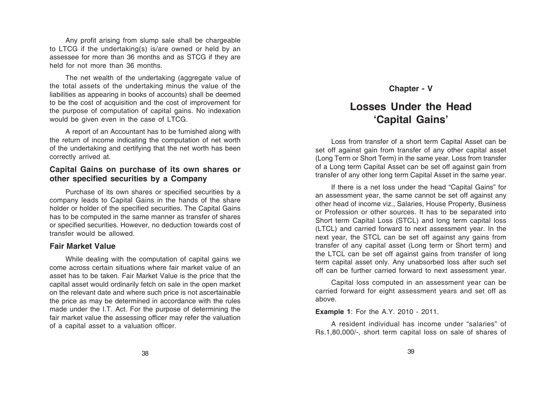Any profit arising from slump sale shall be chargeable to LTCG if the undertaking(s) is/are owned or held by an assessee for more than 36 months and as STCG if they are held for not more than 36 months.

The net wealth of the undertaking (aggregate value of the total assets of the undertaking minus the value of the liabilities as appearing in books of accounts) shall be deemed to be the cost of acquisition and the cost of improvement for the purpose of computation of capital gains. No indexation would be given even in the case of LTCG.

A report of an Accountant has to be furnished along with the return of income indicating the computation of net worth of the undertaking and certifying that the net worth has been correctly arrived at.

## **Capital Gains on purchase of its own shares or other specified securities by a Company**

Purchase of its own shares or specified securities by a company leads to Capital Gains in the hands of the share holder or holder of the specified securities. The Capital Gains has to be computed in the same manner as transfer of shares or specified securities. However, no deduction towards cost of transfer would be allowed.

#### **Fair Market Value**

While dealing with the computation of capital gains we come across certain situations where fair market value of an asset has to be taken. Fair Market Value is the price that the capital asset would ordinarily fetch on sale in the open market on the relevant date and where such price is not ascertainable the price as may be determined in accordance with the rules made under the I.T. Act. For the purpose of determining the fair market value the assessing officer may refer the valuation of a capital asset to a valuation officer.

## **Chapter - V**

# **Losses Under the Head 'Capital Gains'**

Loss from transfer of a short term Capital Asset can be set off against gain from transfer of any other capital asset (Long Term or Short Term) in the same year. Loss from transfer of a Long term Capital Asset can be set off against gain from transfer of any other long term Capital Asset in the same year.

If there is a net loss under the head "Capital Gains" for an assessment year, the same cannot be set off against any other head of income viz., Salaries, House Property, Business or Profession or other sources. It has to be separated into Short term Capital Loss (STCL) and long term capital loss (LTCL) and carried forward to next assessment year. In the next year, the STCL can be set off against any gains from transfer of any capital asset (Long term or Short term) and the LTCL can be set off against gains from transfer of long term capital asset only. Any unabsorbed loss after such set off can be further carried forward to next assessment year.

Capital loss computed in an assessment year can be carried forward for eight assessment years and set off as above.

#### **Example 1**: For the A.Y. 2010 - 2011.

A resident individual has income under "salaries" of Rs.1,80,000/-, short term capital loss on sale of shares of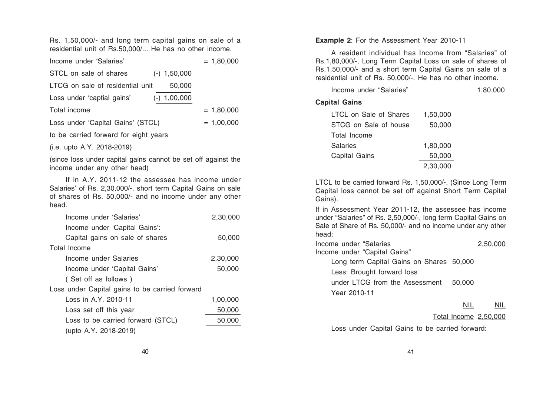Rs. 1,50,000/- and long term capital gains on sale of a residential unit of Rs.50,000/... He has no other income.

| Income under 'Salaries'               |                | $= 1,80,000$ |  |  |  |
|---------------------------------------|----------------|--------------|--|--|--|
| STCL on sale of shares                | $(-)$ 1,50,000 |              |  |  |  |
| LTCG on sale of residential unit      | 50,000         |              |  |  |  |
| Loss under 'captial gains'            | $(-)$ 1,00,000 |              |  |  |  |
| Total income                          |                | $= 1,80,000$ |  |  |  |
| Loss under 'Capital Gains' (STCL)     |                | $= 1.00.000$ |  |  |  |
| to be carried forward for eight years |                |              |  |  |  |

(i.e. upto A.Y. 2018-2019)

(since loss under capital gains cannot be set off against the income under any other head)

If in A.Y. 2011-12 the assessee has income under Salaries' of Rs. 2,30,000/-, short term Capital Gains on sale of shares of Rs. 50,000/- and no income under any other head.

| Income under 'Salaries'                        | 2,30,000 |  |  |
|------------------------------------------------|----------|--|--|
| Income under 'Capital Gains':                  |          |  |  |
| Capital gains on sale of shares                | 50,000   |  |  |
| Total Income                                   |          |  |  |
| Income under Salaries                          | 2,30,000 |  |  |
| Income under 'Capital Gains'                   | 50,000   |  |  |
| (Set off as follows)                           |          |  |  |
| Loss under Capital gains to be carried forward |          |  |  |
| Loss in A.Y. 2010-11                           | 1,00,000 |  |  |
| Loss set off this year                         | 50,000   |  |  |
| Loss to be carried forward (STCL)              | 50,000   |  |  |
| (upto A.Y. 2018-2019)                          |          |  |  |

**Example 2**: For the Assessment Year 2010-11

A resident individual has Income from "Salaries" of Rs.1,80,000/-, Long Term Capital Loss on sale of shares of Rs.1,50,000/- and a short term Capital Gains on sale of a residential unit of Rs. 50,000/-. He has no other income.

| Income under "Salaries" |          | 1,80,000 |
|-------------------------|----------|----------|
| <b>Capital Gains</b>    |          |          |
| LTCL on Sale of Shares  | 1,50,000 |          |
| STCG on Sale of house   | 50,000   |          |
| Total Income            |          |          |
| <b>Salaries</b>         | 1,80,000 |          |
| Capital Gains           | 50,000   |          |
|                         | 2,30,000 |          |

LTCL to be carried forward Rs. 1,50,000/-, (Since Long Term Capital loss cannot be set off against Short Term Capital Gains).

If in Assessment Year 2011-12, the assessee has income under "Salaries" of Rs. 2,50,000/-, long term Capital Gains on Sale of Share of Rs. 50,000/- and no income under any other head;

| Income under "Salaries                   |        | 2,50,000 |
|------------------------------------------|--------|----------|
| Income under "Capital Gains"             |        |          |
| Long term Capital Gains on Shares 50,000 |        |          |
| Less: Brought forward loss               |        |          |
| under LTCG from the Assessment           | 50,000 |          |
| Year 2010-11                             |        |          |
|                                          | NII.   |          |
|                                          |        |          |

#### Total Income 2,50,000

Loss under Capital Gains to be carried forward: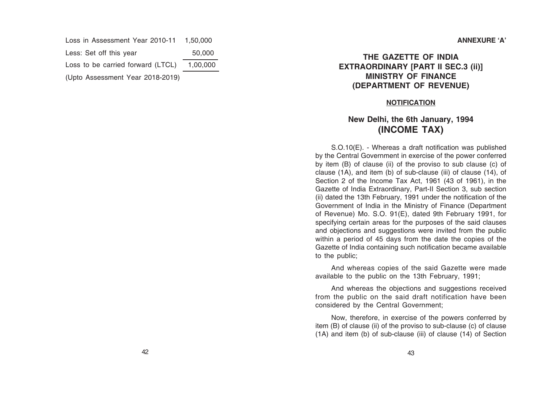Loss in Assessment Year 2010-11 1,50,000 Less: Set off this year 50,000 Loss to be carried forward (LTCL) 1,00,000 (Upto Assessment Year 2018-2019)

# **THE GAZETTE OF INDIA EXTRAORDINARY [PART II SEC.3 (ii)] MINISTRY OF FINANCE (DEPARTMENT OF REVENUE)**

## **NOTIFICATION**

# **New Delhi, the 6th January, 1994 (INCOME TAX)**

S.O.10(E). - Whereas a draft notification was published by the Central Government in exercise of the power conferred by item (B) of clause (ii) of the proviso to sub clause (c) of clause (1A), and item (b) of sub-clause (iii) of clause (14), of Section 2 of the Income Tax Act, 1961 (43 of 1961), in the Gazette of India Extraordinary, Part-II Section 3, sub section (ii) dated the 13th February, 1991 under the notification of the Government of India in the Ministry of Finance (Department of Revenue) Mo. S.O. 91(E), dated 9th February 1991, for specifying certain areas for the purposes of the said clauses and objections and suggestions were invited from the public within a period of 45 days from the date the copies of the Gazette of India containing such notification became available to the public;

And whereas copies of the said Gazette were made available to the public on the 13th February, 1991;

And whereas the objections and suggestions received from the public on the said draft notification have been considered by the Central Government;

Now, therefore, in exercise of the powers conferred by item (B) of clause (ii) of the proviso to sub-clause (c) of clause (1A) and item (b) of sub-clause (iii) of clause (14) of Section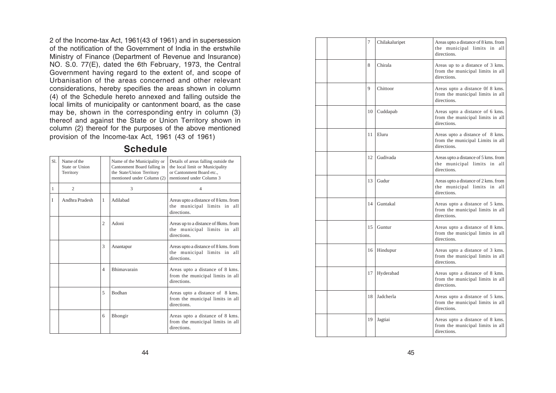2 of the Income-tax Act, 1961(43 of 1961) and in supersession of the notification of the Government of India in the erstwhile Ministry of Finance (Department of Revenue and Insurance) NO. S.0. 77(E), dated the 6th February, 1973, the Central Government having regard to the extent of, and scope of Urbanisation of the areas concerned and other relevant considerations, hereby specifies the areas shown in column (4) of the Schedule hereto annexed and falling outside the local limits of municipality or cantonment board, as the case may be, shown in the corresponding entry in column (3) thereof and against the State or Union Territory shown in column (2) thereof for the purposes of the above mentioned provision of the Income-tax Act, 1961 (43 of 1961)

| S1.          | Name of the<br>State or Union<br>Territory |                | Name of the Municipality or<br>Cantonment Board falling in<br>the State/Union Territory<br>mentioned under Column (2) | Details of areas falling outside the<br>the local limit or Municipality<br>or Cantonment Board etc.,<br>mentioned under Column 3 |
|--------------|--------------------------------------------|----------------|-----------------------------------------------------------------------------------------------------------------------|----------------------------------------------------------------------------------------------------------------------------------|
| $\mathbf{1}$ | $\mathfrak{2}$                             |                | 3                                                                                                                     | 4                                                                                                                                |
| I            | Andhra Pradesh                             | 1              | Adilabad                                                                                                              | Areas upto a distance of 8 kms. from<br>the municipal limits in all<br>directions.                                               |
|              |                                            | 2              | Adoni                                                                                                                 | Areas up to a distance of 8kms. from<br>the municipal limits in all<br>directions.                                               |
|              |                                            | 3              | Anantapur                                                                                                             | Areas upto a distance of 8 kms. from<br>the municipal limits in all<br>directions.                                               |
|              |                                            | $\overline{4}$ | Bhimavarain                                                                                                           | Areas upto a distance of 8 kms.<br>from the municipal limits in all<br>directions                                                |
|              |                                            | 5              | Bodhan                                                                                                                | Areas upto a distance of 8 kms.<br>from the municipal limits in all<br>directions                                                |
|              |                                            | 6              | Bhongir                                                                                                               | Areas upto a distance of 8 kms.<br>from the municipal limits in all<br>directions.                                               |
|              |                                            |                |                                                                                                                       |                                                                                                                                  |

**Schedule**

| 7  | Chilakaluripet | Areas upto a distance of 8 kms. from<br>the municipal limits in all<br>directions.  |
|----|----------------|-------------------------------------------------------------------------------------|
| 8  | Chirala        | Areas up to a distance of 3 kms.<br>from the municipal limits in all<br>directions. |
| 9  | Chittoor       | Areas upto a distance Of 8 kms.<br>from the municipal limits in all<br>directions.  |
| 10 | Cuddapab       | Areas upto a distance of 6 kms.<br>from the municipal limits in all<br>directions.  |
| 11 | Eluru          | Areas upto a distance of 8 kms.<br>from the municipal Limits in all<br>directions.  |
| 12 | Gudivada       | Areas upto a distance of 5 kms. from<br>the municipal limits in all<br>directions.  |
| 13 | Gudur          | Areas upto a distance of 2 kms. from<br>the municipal limits in all<br>directions.  |
| 14 | Guntakal       | Areas upto a distance of 5 kms.<br>from the municipal limits in all<br>directions.  |
| 15 | Guntur         | Areas upto a distance of 8 kms.<br>from the municipal limits in all<br>directions.  |
| 16 | Hindupur       | Areas upto a distance of 3 kms.<br>from the municipal limits in all<br>directions.  |
| 17 | Hyderabad      | Areas upto a distance of 8 kms.<br>from the municipal limits in all<br>directions.  |
| 18 | Jadcherla      | Areas upto a distance of 5 kms.<br>from the municipal limits in all<br>directions.  |
| 19 | Jagtiai        | Areas upto a distance of 8 kms.<br>from the municipal limits in all<br>directions.  |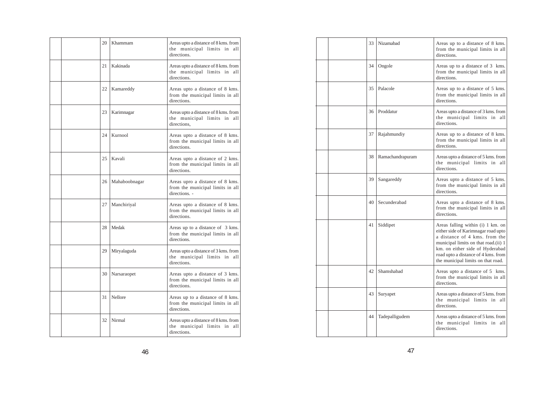|  | 20 | Khammam       | Areas upto a distance of 8 kms. from<br>the municipal limits in<br>all<br>directions. |
|--|----|---------------|---------------------------------------------------------------------------------------|
|  | 21 | Kakinada      | Areas upto a distance of 8 kms. from<br>the municipal limits in<br>all<br>directions. |
|  | 22 | Kamareddy     | Areas upto a distance of 8 kms.<br>from the municipal limits in all<br>directions.    |
|  | 23 | Karimnagar    | Areas upto a distance of 8 kms. from<br>the municipal limits in<br>all<br>directions. |
|  | 24 | Kurnool       | Areas upto a distance of 8 kms.<br>from the municipal limits in all<br>directions.    |
|  | 25 | Kavali        | Areas upto a distance of 2 kms.<br>from the municipal limits in all<br>directions.    |
|  | 26 | Mahaboobnagar | Areas upro a distance of 8 kms.<br>from the municipal limits in all<br>directions. -  |
|  | 27 | Manchiriyal   | Areas upto a distance of 8 kms.<br>from the municipal limits in all<br>directions.    |
|  | 28 | Medak         | Areas up to a distance of 3 kms.<br>from the municipal limits in all<br>directions.   |
|  | 29 | Miryalaguda   | Areas upto a distance of 3 kms. from<br>the municipal limits in<br>all<br>directions. |
|  | 30 | Narsaraopet   | Areas upto a distance of 3 kms.<br>from the municipal limits in all<br>directions.    |
|  | 31 | Nellore       | Areas up to a distance of 8 kms.<br>from the municipal limits in all<br>directions.   |
|  | 32 | Nirmal        | Areas upto a distance of 8 kms. from<br>the municipal limits in<br>all<br>directions. |

| 33 | Nizamabad        | Areas up to a distance of 8 kms.<br>from the municipal limits in all<br>directions.                                                                                                                                                                               |
|----|------------------|-------------------------------------------------------------------------------------------------------------------------------------------------------------------------------------------------------------------------------------------------------------------|
| 34 | Ongole           | Areas up to a distance of 3 kms.<br>from the municipal limits in all<br>directions.                                                                                                                                                                               |
| 35 | Palacole         | Areas up to a distance of 5 kms.<br>from the municipal limits in all<br>directions.                                                                                                                                                                               |
| 36 | Proddatur        | Areas upto a distance of 3 kms. from<br>the municipal limits in all<br>directions.                                                                                                                                                                                |
| 37 | Rajahmundiy      | Areas up to a distance of 8 kms.<br>from the municipal limits in all<br>directions.                                                                                                                                                                               |
| 38 | Ramachandrapuram | Areas upto a distance of 5 kms. from<br>the municipal limits in<br>all<br>directions.                                                                                                                                                                             |
| 39 | Sangareddy       | Areas upto a distance of 5 kms.<br>from the municipal limits in all<br>directions.                                                                                                                                                                                |
| 40 | Secunderabad     | Areas upto a distance of 8 kms.<br>from the municipal limits in all<br>directions.                                                                                                                                                                                |
| 41 | Siddipet         | Areas falling within (i) 1 km. on<br>either side of Karimnagar road upto<br>a distance of 4 kms. from the<br>municipal limits on that road.(ii) 1<br>km. on either side of Hyderabad<br>road upto a distance of 4 kms. from<br>the municipal limits on that road. |
| 42 | Shamshabad       | Areas upto a distance of 5 kms.<br>from the municipal limits in all<br>directions.                                                                                                                                                                                |
| 43 | Suryapet         | Areas upto a distance of 5 kms. from<br>the municipal limits in all<br>directions.                                                                                                                                                                                |
| 44 | Tadepalligudem   | Areas upto a distance of 5 kms. from<br>the municipal limits in all<br>directions.                                                                                                                                                                                |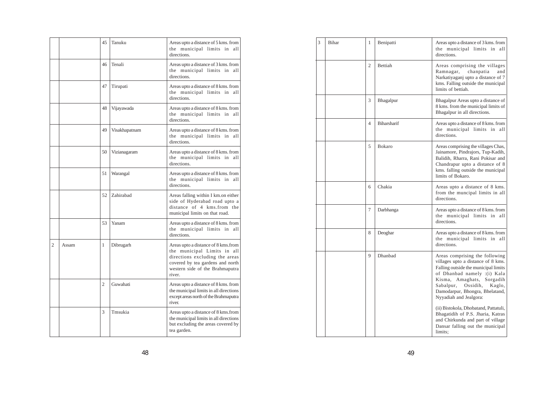|                |       | 45             | Tanuku        | Areas upto a distance of 5 kms. from<br>the municipal limits in<br>all<br>directions.                                                                                                 |
|----------------|-------|----------------|---------------|---------------------------------------------------------------------------------------------------------------------------------------------------------------------------------------|
|                |       | 46             | Tenali        | Areas upto a distance of 3 kms. from<br>the municipal limits in all<br>directions.                                                                                                    |
|                |       | 47             | Tirupati      | Areas upto a distance of 8 kms. from<br>the municipal limits in all<br>directions.                                                                                                    |
|                |       | 48             | Vijayawada    | Areas upto a distance of 8 kms. from<br>the municipal limits in all<br>directions.                                                                                                    |
|                |       | 49             | Visakhapatnam | Areas upto a distance of 8 kms. from<br>the municipal limits in all<br>directions.                                                                                                    |
|                |       | 50             | Vizianagaram  | Areas upto a distance of 8 kms. from<br>the municipal limits in all<br>directions.                                                                                                    |
|                |       | 51             | Warangal      | Areas upto a distance of 8 kms. from<br>the municipal limits in all<br>directions.                                                                                                    |
|                |       | 52             | Zahirabad     | Areas falling within I km.on either<br>side of Hyderabad road upto a<br>distance of 4 kms.from the<br>municipal limits on that road.                                                  |
|                |       | 53             | Yanam         | Areas upto a distance of 8 kms. from<br>the municipal limits in<br>all<br>directions.                                                                                                 |
| $\overline{c}$ | Assam | 1              | Dibrugarh     | Areas upto a distance of 8 kms.from<br>the municipal Limits in all<br>directions excluding the areas<br>covered by tea gardens and north<br>western side of the Brahmaputra<br>river. |
|                |       | $\overline{2}$ | Guwahati      | Areas upto a distance of 8 kms. from<br>the municipal limits in all directions<br>except areas north of the Brahmaputra<br>river.                                                     |
|                |       | 3              | Tmsukia       | Areas upto a distance of 8 kms.from<br>the municipal limits in all directions<br>but excluding the areas covered by<br>tea garden.                                                    |

| 3 | Bihar | 1              | Benipatti      | Areas upto a distance of 3 kms. from<br>the municipal limits in<br>all<br>directions.                                                                                                                                                                                                                                |
|---|-------|----------------|----------------|----------------------------------------------------------------------------------------------------------------------------------------------------------------------------------------------------------------------------------------------------------------------------------------------------------------------|
|   |       | $\mathfrak{D}$ | <b>Bettiah</b> | Areas comprising the villages<br>Ramnagar,<br>chanpatia<br>and<br>Narkatiyaganj upto a distance of 7<br>kms. Falling outside the municipal<br>limits of bettiah.                                                                                                                                                     |
|   |       | 3              | Bhagalpur      | Bhagalpur Areas upto a distance of<br>8 kms. from the municipal limits of<br>Bhagalpur in all directions.                                                                                                                                                                                                            |
|   |       | $\overline{4}$ | Biharsharif    | Areas upto a distance of 8 kms. from<br>the municipal limits in<br>all<br>directions.                                                                                                                                                                                                                                |
|   |       | 5              | Bokaro         | Areas comprising the villages Chas,<br>Jainamore, Pindrajors, Tup-Kadih,<br>Balidih, Rharra, Rani Pokisar and<br>Chandrapur upto a distance of 8<br>kms. falling outside the municipal<br>limits of Bokaro.                                                                                                          |
|   |       | 6              | Chakia         | Areas upto a distance of 8 kms.<br>from the muncipal limits in all<br>directions.                                                                                                                                                                                                                                    |
|   |       | 7              | Darbhanga      | Areas upto a distance of 8 kms. from<br>the municipal limits in all<br>directions.                                                                                                                                                                                                                                   |
|   |       | 8              | Deoghar        | Areas upto a distance of 8 kms. from<br>the municipal limits in<br>all<br>directions.                                                                                                                                                                                                                                |
|   |       | 9              | Dhanbad        | Areas comprising the following<br>villages upto a distance of 8 kms.<br>Falling outside the municipal limits<br>of Dhanbad namely :(i) Kala<br>Kisma, Amaghats,<br>Sorgadih<br>Sabalpur,<br>Ossidih,<br>Kaglo,<br>Damodarpur, Bhongra, Bhelatand,<br>Nyyadiah and Jealgora:<br>(ii) Bistokola, Dhobatand, Pattatuli, |
|   |       |                |                | Bhagatidih of P.S. Jharia, Katras<br>and Chirkunda and part of village<br>Dansar falling out the municipal<br>limits;                                                                                                                                                                                                |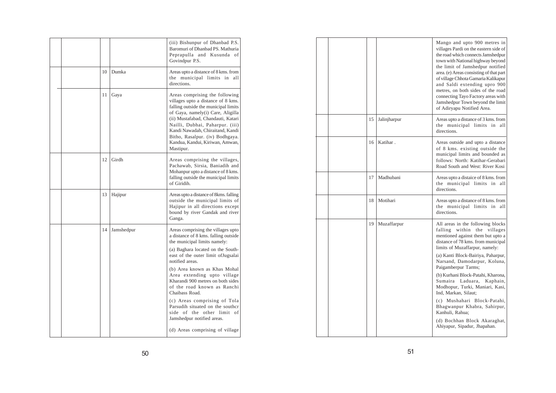|  |    |            | (iii) Bishunpur of Dhanbad P.S.<br>Baromuri of Dhanbad PS. Mathuria<br>Peprapulla and Kusunda of<br>Govindpur P.S.                                                                                                                                                                                                                                                                                                                                                                                                               |
|--|----|------------|----------------------------------------------------------------------------------------------------------------------------------------------------------------------------------------------------------------------------------------------------------------------------------------------------------------------------------------------------------------------------------------------------------------------------------------------------------------------------------------------------------------------------------|
|  | 10 | Dumka      | Areas upto a distance of 8 kms. from<br>the municipal limits in<br>all<br>directions.                                                                                                                                                                                                                                                                                                                                                                                                                                            |
|  | 11 | Gaya       | Areas comprising the following<br>villages upto a distance of 8 kms.<br>falling outside the municipal limits<br>of Gaya, namely(i) Care, Aligilla<br>(ii) Mustafabad, Chandauti, Katari<br>Nailli, Dubhai, Paharpur. (iii)<br>Kandi Nawadah, Chiraitand, Kandi<br>Bitho, Rasalpur. (iv) Bodhgaya.<br>Kandua, Kandui, Kiriwan, Amwan,<br>Mastipur.                                                                                                                                                                                |
|  | 12 | Girdh      | Areas comprising the villages,<br>Pachawab, Sirsia, Baniadih and<br>Mohanpur upto a distance of 8 kms.<br>falling outside the municipal limits<br>of Giridih.                                                                                                                                                                                                                                                                                                                                                                    |
|  | 13 | Hajipur    | Areas upto a distance of 8kms. falling<br>outside the municipal limits of<br>Hajipur in all directions except<br>bound by river Gandak and river<br>Ganga.                                                                                                                                                                                                                                                                                                                                                                       |
|  | 14 | Jamshedpur | Areas comprising the villages upto<br>a distance of 8 kms. falling outside<br>the municipal limits namely:<br>(a) Baghara located on the South-<br>east of the outer limit ofJugsalai<br>notified areas.<br>(b) Area known as Khas Mohal<br>Area extending upto village<br>Kharandi 900 metres on both sides<br>of the road known as Ranchi<br>Chaibass Road.<br>(c) Areas comprising of Tola<br>Parsudih situated on the southcr<br>side of the other limit of<br>Jamshedpur notified areas.<br>(d) Areas comprising of village |

|  |    |              | Mango and upto 900 metres in<br>villages Pardi on the eastern side of<br>the road which connects Jamshedpur<br>town with National highway beyond<br>the limit of Jamshedpur notified<br>area. (e) Areas consisting of that part<br>of village Chhota Gamaria Kalikapur<br>and Saldi extending upro 900<br>metres, on both sides of the road<br>connecting Tayo Factory areas with<br>Jamshedpur Town beyond the limit<br>of Adiryapu Notified Area.                                                                                                              |
|--|----|--------------|------------------------------------------------------------------------------------------------------------------------------------------------------------------------------------------------------------------------------------------------------------------------------------------------------------------------------------------------------------------------------------------------------------------------------------------------------------------------------------------------------------------------------------------------------------------|
|  | 15 | Jalinjharpur | Areas upto a distance of 3 kms. from<br>the municipal limits in all<br>directions.                                                                                                                                                                                                                                                                                                                                                                                                                                                                               |
|  | 16 | Katihar.     | Areas outside and upto a distance<br>of 8 kms. existing outside the<br>municipal limits and bounded as<br>follows: North: Katihar-Gerabari<br>Road South and West: River Kosi                                                                                                                                                                                                                                                                                                                                                                                    |
|  | 17 | Madhubani    | Areas upto a distaice of 8 kms. from<br>the municipal limits in all<br>directions.                                                                                                                                                                                                                                                                                                                                                                                                                                                                               |
|  | 18 | Motihari     | Areas upto a distance of 8 kms. from<br>the municipal limits in<br>all<br>directions.                                                                                                                                                                                                                                                                                                                                                                                                                                                                            |
|  | 19 | Muzaffarpur  | All areas in the following blocks<br>falling<br>within the villages<br>mentioned against them but upto a<br>distance of 78 kms. from municipal<br>limits of Muzaffarpur, namely:<br>(a) Kanti Block-Bairiya, Paharpur,<br>Narsand, Damodarpur, Koluna,<br>Paigamberpur Tarms;<br>(b) Kurhani Block-Patahi, Kharona,<br>Sumaira Laduara,<br>Kaphain,<br>Modhopur, Turki, Maniari, Kasi,<br>Ind. Markan. Silaut:<br>(c) Mushahari Block-Patahi,<br>Bhagwanpur Khabra, Sahirpur,<br>Kanhuli, Rahua;<br>(d) Bochhan Block Akaraghat,<br>Ahiyapur, Sipadur, Jhapahan. |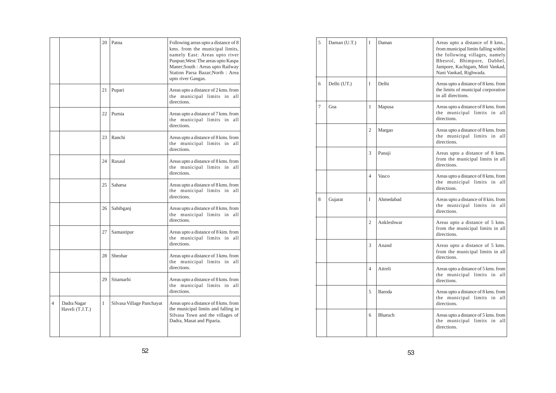|   |                                | 20 | Patna                     | Following areas upto a distance of 8<br>kms. from the municipal limits,<br>namely East: Areas upto river<br>Punpun; West: The areas upto Kaspa<br>Maner; South : Areas upto Railway<br>Station Parsa Bazar; North: Area<br>upto river Gangas. |
|---|--------------------------------|----|---------------------------|-----------------------------------------------------------------------------------------------------------------------------------------------------------------------------------------------------------------------------------------------|
|   |                                | 21 | Pupari                    | Areas upto a distance of 2 kms. from<br>the municipal limits in<br>all<br>directions.                                                                                                                                                         |
|   |                                | 22 | Purnia                    | Areas upto a distance of 7 kms. from<br>the municipal limits in<br>all<br>directions.                                                                                                                                                         |
|   |                                | 23 | Ranchi                    | Areas upto a distance of 8 kms. from<br>the municipal limits in<br>all<br>directions.                                                                                                                                                         |
|   |                                | 24 | Raxaul                    | Areas upto a distance of 8 kms. from<br>the municipal limits in<br>all<br>directions.                                                                                                                                                         |
|   |                                | 25 | Saharsa                   | Areas upto a distance of 8 kms. from<br>the municipal limits in<br>all<br>directions.                                                                                                                                                         |
|   |                                | 26 | Sahibganj                 | Areas upto a distance of 8 kms. from<br>the municipal limits in<br>all<br>directions.                                                                                                                                                         |
|   |                                | 27 | Samastipur                | Areas upto a distance of 8 kim. from<br>the municipal limits in<br>all<br>directions.                                                                                                                                                         |
|   |                                | 28 | Sheohar                   | Areas upto a distance of 3 kms. from<br>the municipal limits in<br>all<br>directions.                                                                                                                                                         |
|   |                                | 29 | Sitamarhi                 | Areas upto a distance of 8 kms. from<br>the municipal limits in<br>all<br>directions.                                                                                                                                                         |
| 4 | Dadra Nagar<br>Haveli (T.J.T.) | 1  | Silvasa Village Panchayat | Areas upro a distance of 8 kms. from<br>the municipal limits and falling in<br>Silvasa Town and the villages of<br>Dadra, Masat and Piparia.                                                                                                  |

| 5 | Daman (U.T.) | I                        | Daman          | Areas upto a distance of 8 kms.,<br>from municipal limits falling within<br>the following villages, namely<br>Bhesrol, Bhimpore, Dabhel,<br>Jampore, Kachigam, Moti Vankad,<br>Nani Vankad, Righwada. |
|---|--------------|--------------------------|----------------|-------------------------------------------------------------------------------------------------------------------------------------------------------------------------------------------------------|
| 6 | Delhi (UT.)  | I                        | Delhi          | Areas upto a distance of 8 kms. from<br>the limits of municipal corporation<br>in all directions.                                                                                                     |
| 7 | Goa          | 1                        | Mapusa         | Areas upto a distance of 8 kms. from<br>the municipal limits in all<br>directions.                                                                                                                    |
|   |              | $\overline{c}$           | Margao         | Areas upto a distance of 8 kms. from<br>the municipal limits in all<br>directions.                                                                                                                    |
|   |              | 3                        | Panaji         | Areas upto a distance of 8 kms.<br>from the municipal limits in all<br>directions.                                                                                                                    |
|   |              | 4                        | Vasco          | Areas upto a distance of 8 kms. from<br>the municipal limits in all<br>directions.                                                                                                                    |
| 8 | Gujarat      | I                        | Ahmedabad      | Areas upto a distance of 8 kits. from<br>the municipal limits in all<br>directions.                                                                                                                   |
|   |              | $\overline{c}$           | Ankleshwar     | Areas upto a distance of 5 kms.<br>from the municipal limits in all<br>directions.                                                                                                                    |
|   |              | 3                        | Anand          | Areas upto a distance of 5 kms.<br>from the municipal limits in all<br>directions.                                                                                                                    |
|   |              | $\overline{\mathcal{L}}$ | Aitreli        | Areas upto a distance of 5 kms. from<br>the municipal limits in all<br>directions.                                                                                                                    |
|   |              | 5                        | Baroda         | Areas upto a distance of 8 kms. from<br>the municipal limits in all<br>directions.                                                                                                                    |
|   |              | 6                        | <b>Bharuch</b> | Areas upto a distance of 5 kms. from<br>the municipal limits in all<br>directions.                                                                                                                    |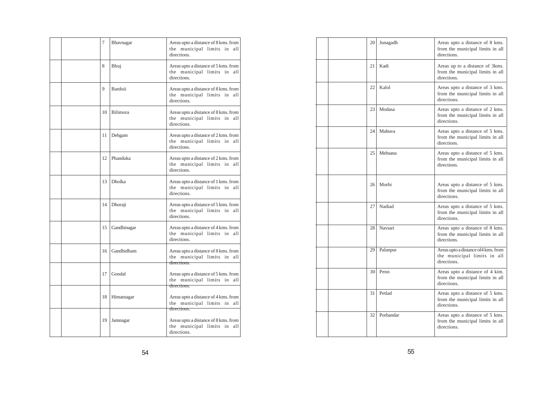|  | 7   | Bhavnagar   | Areas upto a distance of 8 kms. from<br>the municipal limits in<br>all<br>directions. |
|--|-----|-------------|---------------------------------------------------------------------------------------|
|  | 8   | Bhuj        | Areas upto a distance of 5 kms. from<br>the municipal limits in<br>all<br>directions. |
|  | 9   | Bardoii     | Areas upto a distance of 8 kms. from<br>the municipal limits in all<br>directions.    |
|  | 10  | Bilimora    | Areas upto a distance of 8 kms. from<br>the municipal limits in<br>all<br>directions. |
|  | 11  | Dehgam      | Areas upto a distance of 2 kms. from<br>the municipal limits in<br>all<br>directions. |
|  | 12. | Phanduka    | Areas upto a distance of 2 kms. from<br>the municipal limits in<br>all<br>directions. |
|  | 13  | Dholka      | Areas upto a distance of 1 kms. from<br>the municipal limits in<br>all<br>directions. |
|  | 14  | Dhoraji     | Areas upto a distance of 5 kms. from<br>the municipal limits in<br>all<br>directions. |
|  | 15  | Gandhinagar | Areas upto a distance of 4 kms. from<br>the municipal limits in<br>all<br>directions. |
|  | 16  | Gandhidham  | Areas upto a distance of 8 kms. from<br>the municipal limits in<br>all<br>directions. |
|  | 17  | Gondal      | Areas upto a distance of 5 kms. from<br>the municipal limits in<br>all<br>directions. |
|  | 18  | Himatnagar  | Areas upto a distance of 4 kms. from<br>the municipal limits in<br>all<br>directions. |
|  | 19  | Jamnagar    | Areas upto a distance of 8 kms. from<br>the municipal limits in<br>all<br>directions. |

| 20   | Junagadh  | Areas upto a distance of 8 kms.<br>from the municipal limits in all<br>directions. |
|------|-----------|------------------------------------------------------------------------------------|
| 21   | Kadi      | Areas up to a distance of 3kms.<br>from the municipal limits in all<br>directions. |
| 22   | Kalol     | Areas upto a distance of 3 kms.<br>from the municipal limits in all<br>directions. |
| 23   | Modasa    | Areas upto a distance of 2 kms.<br>from the municipal limits in all<br>directions. |
| 24 l | Mahuva    | Areas upto a distance of 5 kms.<br>from the municipal limits in all<br>directions. |
| 25   | Mehsana   | Areas upto a distance of 5 kms.<br>from the municipal limits in all<br>directions. |
| 26   | Morbi     | Areas upto a distance of 5 kms.<br>from the municipal limits in all<br>directions. |
| 27   | Nadiad    | Areas upto a distance of 5 kms.<br>from the municipal limits in all<br>directions. |
| 281  | Navsari   | Areas upto a distance of 8 kms.<br>from the municipal limits in all<br>directions. |
| 29   | Palanpur  | Areas upto a distance of 4 kms. from<br>the municipal limits in all<br>directions. |
| 30   | Penn      | Areas upto a distance of 4 kim.<br>from the municipal limits in all<br>directions. |
| 31   | Petlad    | Areas upto a distance of 5 kms.<br>from the municipal limits in all<br>directions. |
| 32.  | Porbandar | Areas upto a distance of 5 kms.<br>from the municipal limits in all<br>directions. |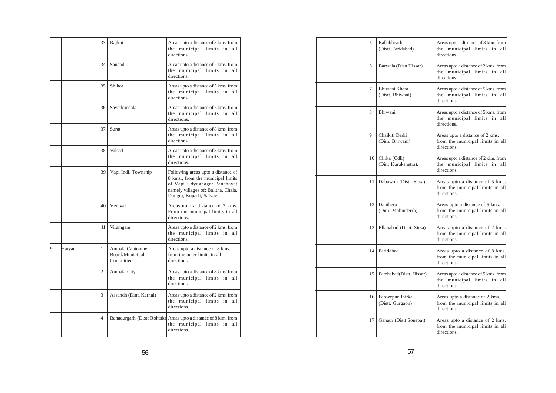|   |         | 33             | Rajkot                                            | Areas upto a distance of 8 kms. from<br>the municipal limits in<br>all<br>directions.                                                                                      |
|---|---------|----------------|---------------------------------------------------|----------------------------------------------------------------------------------------------------------------------------------------------------------------------------|
|   |         | 34             | Sanand                                            | Areas upto a distance of 2 kms. from<br>the municipal limits in all<br>directions.                                                                                         |
|   |         | 35             | Shihor                                            | Areas upto a distance of 5 kms. from<br>the municipal limits in<br>all<br>directions.                                                                                      |
|   |         | 36             | Savarkundala                                      | Areas upto a distance of 5 kms. from<br>the municipal limits in<br>all<br>directions.                                                                                      |
|   |         | 37             | Surat                                             | Areas upto a distance of 8 kms. from<br>the municipal limits in all<br>directions.                                                                                         |
|   |         | 38             | Valsad                                            | Areas upto a distance of 8 kms. from<br>the municipal limits in all<br>directions.                                                                                         |
|   |         | 39             | Vapi Indi. Township                               | Following areas upto a distance of<br>8 kms., from the municipal limits<br>of Vapi Udyognagar Panchayat<br>namely villages of: Balitha, Chala,<br>Dungra, Koparli, Salvav. |
|   |         | 40             | Veraval                                           | Areas upto a distance of 2 kms.<br>From the municipal limits in all<br>directions.                                                                                         |
|   |         | 41             | Viramgam                                          | Areas upto a distance of 2 kms. from<br>the municipal limits in all<br>directions.                                                                                         |
| 9 | Haryana | 1              | Ambala Cantonment<br>Board/Municipal<br>Committee | Areas upto a distance of 8 kms.<br>from the outer limits in all<br>directions.                                                                                             |
|   |         | 2              | Ambala City                                       | Areas upto a distance of 8 kms. from<br>the municipal limits in all<br>directions.                                                                                         |
|   |         | 3              | Assandh (Dint. Karnal)                            | Areas upto a distance of 2 kms. from<br>the municipal limits in<br>all<br>directions.                                                                                      |
|   |         | $\overline{4}$ | Bahadurgarh (Distt Rohtak)                        | Areas upto a distance of 8 kim. from<br>the municipal limits in<br>all<br>directions.                                                                                      |

| 5               | Ballabhgarh<br>(Distt. Faridabad)    | Areas upto a distance of 8 kim. from<br>the municipal limits in all<br>directions.    |
|-----------------|--------------------------------------|---------------------------------------------------------------------------------------|
| 6               | Barwala (Distt Hissar)               | Areas upto a distance of 2 kms. from<br>the municipal limits in all<br>directions.    |
| 7               | Bhiwani Khera<br>(Distt. Bhiwani)    | Areas upto a distance of 5 kms. from<br>the municipal limits in all<br>directions.    |
| 8               | Bhiwani                              | Areas upto a distance of 5 kms. from<br>the municipal limits in<br>all<br>directions. |
| 9               | Chaikiti Dadri<br>(Dim. Bhiwani)     | Areas upto a distance of 2 kms.<br>from the municipal limits in all<br>directions.    |
| 10 <sup>1</sup> | Cliika (Cdli)<br>(Dint Kurukshetra). | Areas upto a distance of 2 kim. from<br>the municipal limits in all<br>directions.    |
| 11              | Dabawoli (Distt. Sirsa)              | Areas upto a distance of 5 kms.<br>from the municipal limits in all<br>directions.    |
| 12              | Danthera<br>(Dim. Mohinderrh)        | Areas upto a distance of 5 kms.<br>from the municipal limits in all<br>directions.    |
| 13              | Ellanabad (Distt. Sirsa)             | Areas upto a distance of 2 kms.<br>from the municipal limits in all<br>directions.    |
| 14              | Faridabad                            | Areas upto a distance of 8 kms.<br>from the municipal limits in all<br>directions.    |
| 15              | Fatehabad(Distt. Hissar)             | Areas upto a distance of 5 kms. from<br>the municipal limits in all<br>directions.    |
| 16 <sup>1</sup> | Ferozepur Jhirka<br>(Distt. Gurgaon) | Areas upto a distance of 2 kms.<br>from the municipal limits in all<br>directions.    |
| 17              | Ganaur (Distt Sonepat)               | Areas upto a distance of 2 kms.<br>from the municipal limits in all<br>directions.    |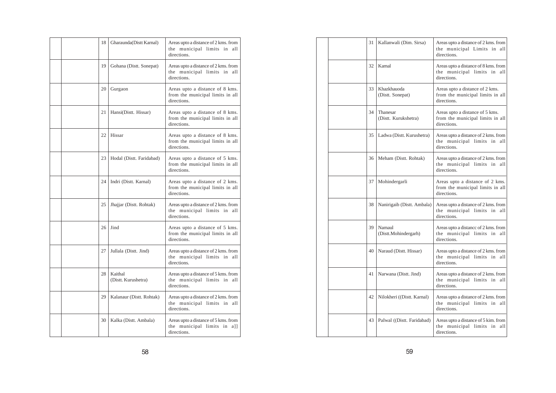|  | 18  | Gharaunda(Distt Karnal)        | Areas upto a distance of 2 kms. from<br>the municipal limits in all<br>directions. |
|--|-----|--------------------------------|------------------------------------------------------------------------------------|
|  | 19  | Gohana (Distt. Sonepat)        | Areas upto a distance of 2 kms. from<br>the municipal limits in all<br>directions. |
|  | 20  | Gurgaon                        | Areas upto a distance of 8 kms.<br>from the municipal limits in all<br>directions. |
|  | 21  | Hansi(Distt. Hissar)           | Areas upto a distance of 8 kms.<br>from the municipal limits in all<br>directions. |
|  | 22  | Hissar                         | Areas upto a distance of 8 kms.<br>from the municipal limits in all<br>directions. |
|  | 23  | Hodal (Distt. Faridabad)       | Areas upto a distance of 5 kms.<br>from the municipal limits in all<br>directions. |
|  | 24  | Indri (Distt. Karnal)          | Areas upto a distance of 2 kms.<br>from the municipal limits in all<br>directions. |
|  | 25  | Jhajjar (Distt. Rohtak)        | Areas upto a distance of 2 kms. from<br>the municipal limits in all<br>directions. |
|  | 26  | Jind                           | Areas upto a distance of 5 kms.<br>from the municipal limits in all<br>directions. |
|  | 27  | Jullala (Distt. Jind)          | Areas upto a distance of 2 kms. from<br>the municipal limits in all<br>directions. |
|  | 28  | Kaithal<br>(Distt. Kurushetra) | Areas upto a distance of 5 kms. from<br>the municipal limits in all<br>directions. |
|  | 29. | Kalanaur (Distt. Rohtak)       | Areas upto a distance of 2 kms. from<br>the municipal limits in all<br>directions. |
|  | 30  | Kalka (Distt. Ambala)          | Areas upto a distance of 5 kms. from<br>the municipal limits in a]]<br>directions. |

|  | 31 | Kallanwali (Dim. Sirsa)          | Areas upto a distance of 2 kms. from<br>the municipal Limits in all<br>directions.    |
|--|----|----------------------------------|---------------------------------------------------------------------------------------|
|  | 32 | Karnal                           | Areas upto a distance of 8 kms. from<br>the municipal limits in all<br>directions.    |
|  | 33 | Khazkhauoda<br>(Distt. Sonepat)  | Areas upto a distance of 2 kms.<br>from the municipal limits in all<br>directions.    |
|  | 34 | Thanesar<br>(Distt. Kurukshetra) | Areas upto a distance of 5 kms.<br>from the municipal limits in all<br>directions.    |
|  | 35 | Ladwa (Distt. Kurushetra)        | Areas upto a distance of 2 kms. from<br>the municipal limits in<br>all<br>directions. |
|  | 36 | Meham (Distt. Rohtak)            | Areas upto a distance of 2 kms. from<br>the municipal limits in<br>all<br>directions. |
|  | 37 | Mohindergarli                    | Areas upto a distance of 2 kms.<br>from the municipal limits in all<br>directions.    |
|  | 38 | Nanirigaib (Distt. Ambala)       | Areas upto a distance of 2 kms. from<br>the municipal limits in<br>all<br>directions. |
|  | 39 | Narnaul<br>(Distt.Mohindergarh)  | Areas upto a distance of 2 kms. from<br>the municipal limits in all<br>directions.    |
|  | 40 | Naraud (Distt. Hissar)           | Areas upto a distance of 2 kms. from<br>the municipal limits in all<br>directions.    |
|  | 41 | Narwana (Distt. Jind)            | Areas upto a distance of 2 kms. from<br>the municipal limits in all<br>directions.    |
|  | 42 | Nilokheri ((Distt. Karnal)       | Areas upto a distance of 2 kms. from<br>the municipal limits in all<br>directions     |
|  | 43 | PaIwal ((Distt. Faridabad)       | Areas upto a distance of 5 kim. from<br>the municipal limits in<br>all<br>directions. |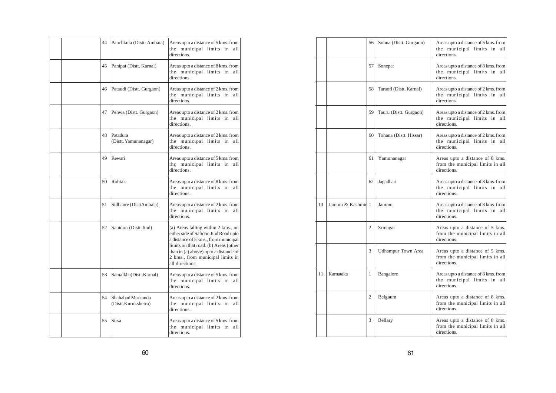|  | 44 | Panchkula (Distt. Ambaia)                | Areas upto a distance of 5 kms. from<br>the municipal limits in<br>all<br>directions.                                                                                                                                                                         |
|--|----|------------------------------------------|---------------------------------------------------------------------------------------------------------------------------------------------------------------------------------------------------------------------------------------------------------------|
|  | 45 | Panipat (Distt. Karnal)                  | Areas upto a distance of 8 kms. from<br>the municipal limits in all<br>directions.                                                                                                                                                                            |
|  | 46 | Pataudi (Distt. Gurgaon)                 | Areas upto a distance of 2 kms. from<br>the municipal limits in all<br>directions.                                                                                                                                                                            |
|  | 47 | Pehwa (Distt. Gurgaon)                   | Areas upto a distance of 2 kms. from<br>the municipal limits in<br>all<br>directions                                                                                                                                                                          |
|  | 48 | Patadura<br>(Distt. Yamunanagar)         | Areas upto a distance of 2 kms. from<br>the municipal limits in<br>all<br>directions.                                                                                                                                                                         |
|  | 49 | Rewari                                   | Areas upto a distance of 5 kms. from<br>the municipal limits in all<br>directions.                                                                                                                                                                            |
|  | 50 | Rohtak                                   | Areas upto a distance of 8 kms. from<br>the municipal limtts in<br>all<br>directions.                                                                                                                                                                         |
|  | 51 | Sidbaure (DisttAmbala)                   | Areas upto a distance of 2 kms. from<br>the municipal limits in<br>all<br>directions.                                                                                                                                                                         |
|  | 52 | Sauidon (Distt Jind)                     | (a) Areas falling within 2 kms., on<br>either side of Safidon Jind Road upto<br>a distance of 5 kms., from municipal<br>limits on that road. (b) Areas (other<br>than in (a) above) upto a distance of<br>2 kms., from municipal limits in<br>all directions. |
|  | 53 | Samalkha(Distt.Karnal)                   | Areas upto a distance of 5 kms. from<br>the municipal limits in all<br>directions.                                                                                                                                                                            |
|  | 54 | Shahabad Markanda<br>(Distt.Kurukshetra) | Areas upto a distance of 2 kms. from<br>the municipal limits in all<br>directions.                                                                                                                                                                            |
|  | 55 | <b>Sirsa</b>                             | Areas upto a distance of 5 kms. from<br>the municipal limits in all<br>directions.                                                                                                                                                                            |

|      |                   | 56             | Sohna (Distt. Gurgaon)    | Areas upto a distance of 5 kms. from<br>the municipal limits in<br>all<br>directions. |
|------|-------------------|----------------|---------------------------|---------------------------------------------------------------------------------------|
|      |                   | 57             | Sonepat                   | Areas upto a distance of 8 kms. from<br>the municipal limits in all<br>directions.    |
|      |                   | 58             | Taraofl (Distt. Karnal)   | Areas upto a distance of 2 kms. from<br>the municipal limits in all<br>directions.    |
|      |                   | 59             | Tauru (Distt. Gurgaon)    | Areas upto a distance of 2 kms. from<br>the municipal limits in<br>all<br>directions. |
|      |                   | 60             | Tohana (Distt. Hissar)    | Areas upto a distance of 2 kms. from<br>the municipal limits in all<br>directions.    |
|      |                   | 61             | Yamunanagar               | Areas upto a distance of 8 kms.<br>from the municipal limits in all<br>directions.    |
|      |                   | 62             | Jagadhari                 | Areas upto a distance of 8 kms. from<br>the municipal limits in<br>all<br>directions. |
| 10   | Jammu & Kashmir 1 |                | Jammu                     | Areas upto a distance of 8 kms. from<br>the municipal limits in<br>all<br>directions. |
|      |                   | $\overline{2}$ | Srinagar                  | Areas upto a distance of 5 kms.<br>from the municipal limits in all<br>directions.    |
|      |                   | 3              | <b>Udhampur Town Area</b> | Areas upto a distance of 5 kms.<br>from the municipal limits in all<br>directions.    |
| 11.1 | Karnataka         | 1              | Bangalore                 | Areas upto a distance of 8 kms. from<br>the municipal limits in all<br>directions.    |
|      |                   | 2              | Belgaum                   | Areas upto a distance of 8 kms.<br>from the municipal limits in all<br>directions.    |
|      |                   | 3              | Bellary                   | Areas upto a distance of 8 kms.<br>from the municipal limits in all<br>directions.    |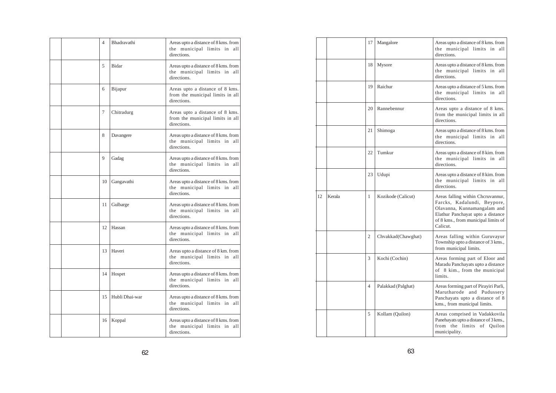|  | 4  | Bhadravathi    | Areas upto a distance of 8 kms. from<br>the municipal limits in<br>all<br>directions. |
|--|----|----------------|---------------------------------------------------------------------------------------|
|  | 5  | Bidar          | Areas upto a distance of 8 kms. from<br>the municipal limits in all<br>directions.    |
|  | 6  | Bijapur        | Areas upto a distance of 8 kms.<br>from the municipal limits in all<br>directions.    |
|  | 7  | Chitradurg     | Areas upto a distance of 8 kms.<br>from the municipal limits in all<br>directions.    |
|  | 8  | Davangere      | Areas upto a distance of 8 kms. from<br>the municipal limits in<br>all<br>directions. |
|  | 9  | Gadag          | Areas upto a distance of 8 kms. from<br>the municipal limits in all<br>directions.    |
|  | 10 | Gangavathi     | Areas upto a distance of 8 kms. from<br>the municipal limits in all<br>directions.    |
|  | 11 | Gulbarge       | Areas upto a distance of 8 kms. from<br>the municipal limits in<br>all<br>directions. |
|  | 12 | Hassan         | Areas upto a distance of 8 kms. from<br>the municipal limits in<br>all<br>directions. |
|  | 13 | Haveri         | Areas upto a distance of 8 km. from<br>the municipal limits in all<br>directions.     |
|  | 14 | Hospet         | Areas upto a distance of 8 kms. from<br>the municipal limits in all<br>directions.    |
|  | 15 | Hubli Dhai-war | Areas upto a distance of 8 kms. from<br>the municipal limits in all<br>directions.    |
|  | 16 | Koppal         | Areas upto a distance of 8 kms. from<br>the municipal limits in<br>all<br>directions. |

|    |        | 17             | Mangalore          | Areas upto a distance of 8 kms. from<br>the municipal limits in<br>all<br>directions.                                                                                                   |
|----|--------|----------------|--------------------|-----------------------------------------------------------------------------------------------------------------------------------------------------------------------------------------|
|    |        | 18             | Mysore             | Areas upto a distance of 8 kms. from<br>the municipal limits in all<br>directions.                                                                                                      |
|    |        | 19             | Raichur            | Areas upto a distance of 5 kms. from<br>the municipal limits in all<br>directions.                                                                                                      |
|    |        | 20             | Rannebennur        | Areas upto a distance of 8 kms.<br>from the municipal limits in all<br>directions.                                                                                                      |
|    |        | 21             | Shimoga            | Areas upto a distance of 8 kms. from<br>the municipal limits in all<br>directions.                                                                                                      |
|    |        | 22             | Tumkur             | Areas upto a distance of 8 kim. from<br>the municipal limits in<br>all<br>directions.                                                                                                   |
|    |        | 23             | Udupi              | Areas upto a distance of 8 kim. from<br>the municipal limits in<br>all<br>directions.                                                                                                   |
| 12 | Kerala | 1              | Kozikode (Calicut) | Areas falling within Chcruvannur,<br>Farcks, Kadalundi, Beypore,<br>Olavanna, Kunnamangalam and<br>Elathur Panchayat upto a distance<br>of 8 kms., from municipal limits of<br>Calicut. |
|    |        | $\overline{c}$ | Chvakkad(Chawghat) | Areas falling within Guruvayur<br>Township upto a distance of 3 kms.,<br>from municipal limits.                                                                                         |
|    |        | 3              | Kochi (Cochin)     | Areas forming part of Eloor and<br>Maradu Panchayats upto a distance<br>of 8 kim., from the municipal<br>limits.                                                                        |
|    |        | $\overline{4}$ | Palakkad (Palghat) | Areas forming part of Pirayiri Parli,<br>Marutharode and Pudussery<br>Panchayats upto a distance of 8<br>kms., from municipal limits.                                                   |
|    |        | 5              | Kollam (Quilon)    | Areas comprised in Vadakkovila<br>Panehayats upto a distance of 3 kms.,<br>from the limits of Quilon<br>municipality.                                                                   |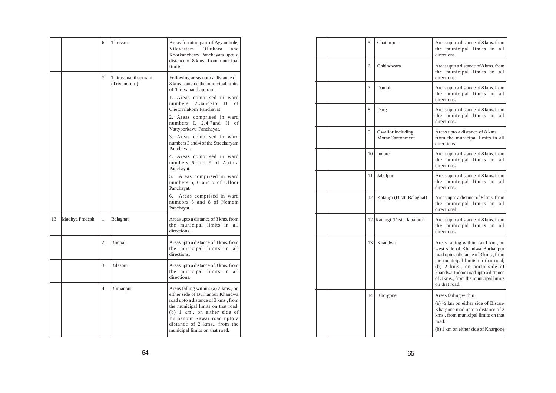|    |                | 6 | Thrissur                           | Areas forming part of Ayyanthole,<br>Vilavattam<br>Ollukara<br>and<br>Koorkancherry Panchayats upto a<br>distance of 8 kms., from municipal<br>limits.                                                                                                                                            |
|----|----------------|---|------------------------------------|---------------------------------------------------------------------------------------------------------------------------------------------------------------------------------------------------------------------------------------------------------------------------------------------------|
|    |                | 7 | Thiruvananthapuram<br>(Trivandrum) | Following areas upto a distance of<br>8 kms., outside the municipal limits<br>of Tiruvananthapuram.<br>1. Areas comprised in ward<br>$2,3$ and $7$ to<br>П<br>numbers<br>of<br>Chettivilakom Panchayat.<br>2. Areas comprised in ward<br>numbers I, 2,4,7 and II<br>of<br>Vattyoorkavu Panchayat. |
|    |                |   |                                    | 3. Areas comprised in ward<br>numbers 3 and 4 of the Streekaryam<br>Panchayat.                                                                                                                                                                                                                    |
|    |                |   |                                    | 4. Areas comprised in ward<br>numbers 6 and 9 of Attipra<br>Panchayat.                                                                                                                                                                                                                            |
|    |                |   |                                    | Areas comprised in ward<br>5.<br>numbers 5, 6 and 7 of Ulloor<br>Panchayat.                                                                                                                                                                                                                       |
|    |                |   |                                    | Areas comprised in ward<br>6.<br>numebrs 6 and 8 of Nemom<br>Panchayat.                                                                                                                                                                                                                           |
| 13 | Madhya Pradesh | 1 | Balaghat                           | Areas upto a distance of 8 kms. from<br>the municipal limits in all<br>directions.                                                                                                                                                                                                                |
|    |                | 2 | Bhopal                             | Areas upto a distance of 8 kms. from<br>the municipal limits in<br>all<br>directions.                                                                                                                                                                                                             |
|    |                | 3 | <b>Bilaspur</b>                    | Areas upto a distance of 8 kms. from<br>the municipal limits in all<br>directions.                                                                                                                                                                                                                |
|    |                | 4 | Burhanpur                          | Areas falling within: (a) 2 kms., on<br>either side of Burhanpur Khandwa<br>road upto a distance of 3 kms., from<br>the municipal limits on that road.<br>$(b)$ 1 km., on either side of<br>Burhanpur Rawar road upto a<br>distance of 2 kms., from the<br>municipal limits on that road.         |

|  | 5  | Chattarpur                            | Areas upto a distance of 8 kms. from<br>the municipal limits in all<br>directions.                                                                                                                                                                                                    |
|--|----|---------------------------------------|---------------------------------------------------------------------------------------------------------------------------------------------------------------------------------------------------------------------------------------------------------------------------------------|
|  | 6  | Chhindwara                            | Areas upto a distance of 8 kms. from<br>the municipal limits in all<br>directions.                                                                                                                                                                                                    |
|  | 7  | Damoh                                 | Areas upto a distance of 8 kms. from<br>the municipal limits in<br>all<br>directions.                                                                                                                                                                                                 |
|  | 8  | Durg                                  | Areas upto a distance of 8 kms. from<br>the municipal limits in all<br>directions.                                                                                                                                                                                                    |
|  | 9  | Gwalior including<br>Morar Cantonment | Areas upto a distance of 8 kms.<br>from the municipal limits in all<br>directions.                                                                                                                                                                                                    |
|  | 10 | Indore                                | Areas upto a distance of 8 kms. from<br>the municipal limits in all<br>directions.                                                                                                                                                                                                    |
|  | 11 | Jabalpur                              | Areas upto a distance of 8 kms. from<br>the municipal limits in all<br>directions.                                                                                                                                                                                                    |
|  | 12 | Katangi (Distt. Balaghat)             | Areas upto a distinct of 8 kms. from<br>the municipal limits in all<br>directional.                                                                                                                                                                                                   |
|  |    | 12   Katangi (Distt. Jabalpur)        | Areas upto a distance of 8 kms. from<br>the municipal limits in all<br>directions.                                                                                                                                                                                                    |
|  | 13 | Khandwa                               | Areas falling within: (a) 1 km., on<br>west side of Khandwa Burhanpur<br>road upto a distance of 3 kms., from<br>the municipal limits on that road;<br>$(b)$ 2 kms., on north side of<br>khandwa-Indore road upto a distance<br>of 3 kms., from the municipal limits<br>on that road. |
|  | 14 | Khorgone                              | Areas failing within:<br>(a) $\frac{1}{2}$ km on either side of Bistan-<br>Khargone mad upto a distance of 2<br>kms., from municipal limits on that<br>road.<br>(b) 1 km on either side of Khargone                                                                                   |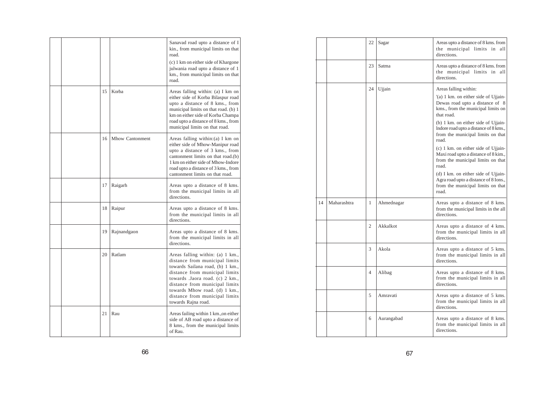|  |    |                 | Sanavad road upto a distance of I<br>kin., from municipal limits on that<br>road.<br>(c) 1 km on either side of Khargone<br>julwania road upto a distance of 1<br>km., from municipal limits on that<br>road.                                                                                           |
|--|----|-----------------|---------------------------------------------------------------------------------------------------------------------------------------------------------------------------------------------------------------------------------------------------------------------------------------------------------|
|  | 15 | Korba           | Areas falling within: (a) I km on<br>either side of Korba Bilaspur road<br>upto a distance of 8 kms., from<br>municipal limits on that road. (b) 1<br>km on either side of Korba Champa<br>road upto a distance of 8 kms., from<br>municipal limits on that road.                                       |
|  | 16 | Mhow Cantonment | Areas falling within: (a) I km on<br>either side of Mhow-Manipur road<br>upto a distance of 3 kms., from<br>cantonment limits on that road.(b)<br>1 km on either side of Mhow-Indore<br>road upto a distance of 3 kms., from<br>cantonment limits on that road.                                         |
|  | 17 | Raigarh         | Areas upto a distance of 8 kms.<br>from the municipal limits in all<br>directions.                                                                                                                                                                                                                      |
|  | 18 | Raipur          | Areas upto a distance of 8 kms.<br>from the municipal limits in all<br>directions.                                                                                                                                                                                                                      |
|  | 19 | Rajnandgaon     | Areas upto a distance of 8 kms.<br>from the municipal limits in all<br>directions.                                                                                                                                                                                                                      |
|  | 20 | Ratlam          | Areas falling within: (a) 1 km.,<br>distance from municipal limits<br>towards Sailana road, (b) 1 km.,<br>distance from municipal limits<br>towards .Jaora road. (c) 2 km.,<br>distance from municipal limits<br>towards Mhow road. (d) 1 km.,<br>distance from municipal limits<br>towards Rajna road. |
|  | 21 | Rau             | Areas failing within 1 km., on either<br>side of AB road upto a distance of<br>8 kms., from the municipal limits<br>of Rau.                                                                                                                                                                             |

|    |             | 22 | Sagar      | Areas upto a distance of 8 kms. from<br>the municipal limits in<br>all<br>directions.                                                                                                                                                                                                                                                                                                                                                                                                                                                           |
|----|-------------|----|------------|-------------------------------------------------------------------------------------------------------------------------------------------------------------------------------------------------------------------------------------------------------------------------------------------------------------------------------------------------------------------------------------------------------------------------------------------------------------------------------------------------------------------------------------------------|
|    |             | 23 | Satma      | Areas upto a distance of 8 kms. from<br>the municipal limits in all<br>directions.                                                                                                                                                                                                                                                                                                                                                                                                                                                              |
|    |             | 24 | Ujjain     | Areas falling within:<br>(a) 1 km. on either side of Ujjain-<br>Dewas road upto a distance of 8<br>kms., from the municipal limits on<br>that road.<br>(b) 1 km. on either side of Ujjain-<br>Indore road upto a distance of 8 kms.,<br>from the municipal limits on that<br>road.<br>$(c)$ 1 km. on either side of Ujjain-<br>Maxi road upto a distance of 8 kim.,<br>from the municipal limits on that<br>road.<br>(d) I km. on either side of Ujjain-<br>Agra road upto a distance of 8 Ions.,<br>from the municipal limits on that<br>road. |
| 14 | Maharashtra | 1  | Ahmednagar | Areas upto a distance of 8 kms.<br>from the municipal limits in the all<br>directions.                                                                                                                                                                                                                                                                                                                                                                                                                                                          |
|    |             | 2  | Akkalkot   | Areas upto a distance of 4 kms.<br>from the municipal limits in all<br>directions.                                                                                                                                                                                                                                                                                                                                                                                                                                                              |
|    |             | 3  | Akola      | Areas upto a distance of 5 kms.<br>from the municipal limits in all<br>directions.                                                                                                                                                                                                                                                                                                                                                                                                                                                              |
|    |             | 4  | Alibag     | Areas upto a distance of 8 kms.<br>from the municipal limits in all<br>directions.                                                                                                                                                                                                                                                                                                                                                                                                                                                              |
|    |             | 5  | Amravati   | Areas upto a distance of 5 kms.<br>from the municipal limits in all<br>directions.                                                                                                                                                                                                                                                                                                                                                                                                                                                              |
|    |             | 6  | Aurangabad | Areas upto a distance of 8 kms.<br>from the municipal limits in all<br>directions.                                                                                                                                                                                                                                                                                                                                                                                                                                                              |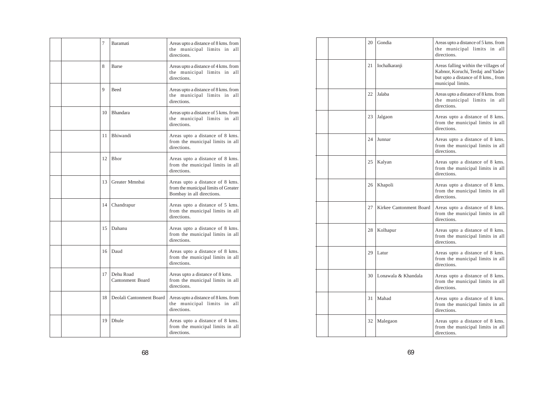|  | 7  | Baramati                      | Areas upto a distance of 8 kms. from<br>the municipal limits in all<br>directions.                   |
|--|----|-------------------------------|------------------------------------------------------------------------------------------------------|
|  | 8  | <b>Barse</b>                  | Areas upto a distance of 4 kms. from<br>the municipal limits in all<br>directions.                   |
|  | 9  | <b>Beed</b>                   | Areas upto a distance of 8 kms. from<br>the municipal limits in all<br>directions.                   |
|  | 10 | <b>Bhandara</b>               | Areas upto a distance of 5 kms. from<br>the municipal limits in all<br>directions.                   |
|  | 11 | Bhiwandi                      | Areas upto a distance of 8 kms.<br>from the municipal limits in all<br>directions.                   |
|  | 12 | Bhor                          | Areas upto a distance of 8 kms.<br>from the municipal limits in all<br>directions.                   |
|  | 13 | Greater Mmnbai                | Areas upto a distance of 8 kms.<br>from the municipal limits of Greater<br>Bombay in all directions. |
|  | 14 | Chandrapur                    | Areas upto a distance of 5 kms.<br>from the municipal limits in all<br>directions.                   |
|  | 15 | Dahanu                        | Areas upto a distance of 8 kms.<br>from the municipal limits in all<br>directions.                   |
|  | 16 | Daud                          | Areas upto a distance of 8 kms.<br>from the municipal limits in all<br>directions.                   |
|  | 17 | Dehu Road<br>Cantonment Board | Areas upto a distance of 8 kms.<br>from the municipal limits in all<br>directions.                   |
|  | 18 | Deolali Cantonment Board      | Areas upto a distance of 8 kms. from<br>the municipal limits in all<br>directions.                   |
|  | 19 | Dhule                         | Areas upto a distance of 8 kms.<br>from the municipal limits in all<br>directions.                   |

| 20 | Gondia                  | Areas upto a distance of 5 kms. from<br>the municipal limits in all<br>directions.                                                    |
|----|-------------------------|---------------------------------------------------------------------------------------------------------------------------------------|
| 21 | Iochalkaranji           | Areas falling within the villages of<br>Kabnor, Koruchi, Terdaj and Yadav<br>but upto a distance of 8 kms., from<br>municipal limits. |
| 22 | Jalaba                  | Areas upto a distance of 8 kms. from<br>the municipal limits in all<br>directions.                                                    |
| 23 | Jalgaon                 | Areas upto a distance of 8 kms.<br>from the municipal limits in all<br>directions.                                                    |
| 24 | Junnar                  | Areas upto a distance of 8 kms.<br>from the municipal limits in all<br>directions.                                                    |
| 25 | Kalyan                  | Areas upto a distance of 8 kms.<br>from the municipal limits in all<br>directions.                                                    |
| 26 | Khapoli                 | Areas upto a distance of 8 kms.<br>from the municipal limits in all<br>directions.                                                    |
| 27 | Kirkee Cantonment Board | Areas upto a distance of 8 kms.<br>from the municipal limits in all<br>directions.                                                    |
| 28 | Kolhapur                | Areas upto a distance of 8 kms.<br>from the municipal limits in all<br>directions.                                                    |
| 29 | Latur                   | Areas upto a distance of 8 kms.<br>from the municipal limits in all<br>directions.                                                    |
| 30 | Lonawala & Khandala     | Areas upto a distance of 8 kms.<br>from the municipal limits in all<br>directions.                                                    |
| 31 | Mahad                   | Areas upto a distance of 8 kms.<br>from the municipal limits in all<br>directions.                                                    |
| 32 | Malegaon                | Areas upto a distance of 8 kms.<br>from the municipal limits in all<br>directions.                                                    |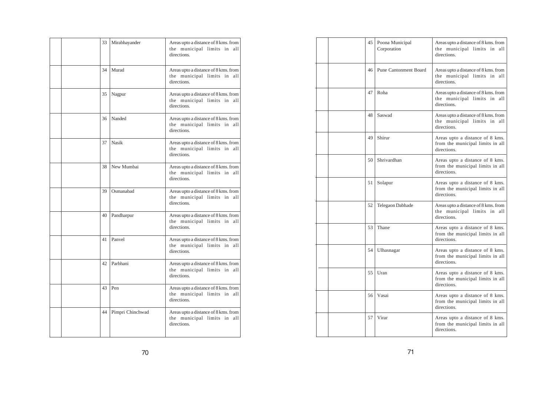|  | 33 | Mirabhayander    | Areas upto a distance of 8 kms. from<br>the municipal limits in all<br>directions.    |
|--|----|------------------|---------------------------------------------------------------------------------------|
|  | 34 | Murad            | Areas upto a distance of 8 kms. from<br>the municipal limits in<br>all<br>directions. |
|  | 35 | Nagpur           | Areas upto a distance of 8 kms. from<br>the municipal limits in all<br>directions.    |
|  | 36 | Nanded           | Areas upto a distance of 8 kms. from<br>the municipal limits in all<br>directions.    |
|  | 37 | Nasik            | Areas upto a distance of 8 kms. from<br>the municipal limits in all<br>directions.    |
|  | 38 | New Mumbai       | Areas upto a distance of 8 kms. from<br>the municipal limits in all<br>directions.    |
|  | 39 | Osmanabad        | Areas upto a distance of 8 kms. from<br>the municipal limits in all<br>directions.    |
|  | 40 | Pandharpur       | Areas upto a distance of 8 kms. from<br>the municipal limits in<br>all<br>directions. |
|  | 41 | Panvel           | Areas upto a distance of 8 kms. from<br>the municipal limits in all<br>directions.    |
|  | 42 | Parbhani         | Areas upto a distance of 8 kms. from<br>the municipal limits in all<br>directions.    |
|  | 43 | Pen              | Areas upto a distance of 8 kms. from<br>the municipal limits in all<br>directions.    |
|  | 44 | Pimpri Chinchwad | Areas upto a distance of 8 kms. from<br>the municipal limits in all<br>directions.    |

| 45 | Poona Municipal<br>Corporation | Areas upto a distance of 8 kms. from<br>the municipal limits in all<br>directions. |
|----|--------------------------------|------------------------------------------------------------------------------------|
| 46 | <b>Pune Cantonment Board</b>   | Areas upto a distance of 8 kms. from<br>the municipal limits in all<br>directions. |
| 47 | Roha                           | Areas upto a distance of 8 kms. from<br>the municipal limits in all<br>directions. |
| 48 | Saswad                         | Areas upto a distance of 8 kms. from<br>the municipal limits in all<br>directions. |
| 49 | Shirur                         | Areas upto a distance of 8 kms.<br>from the municipal limits in all<br>directions. |
| 50 | Shrivardhan                    | Areas upto a distance of 8 kms.<br>from the municipal limits in all<br>directions. |
| 51 | Solapur                        | Areas upto a distance of 8 kms.<br>from the municipal limits in all<br>directions. |
| 52 | Telegaon Dabhade               | Areas upto a distance of 8 kms. from<br>the municipal limits in all<br>directions. |
| 53 | Thane                          | Areas upto a distance of 8 kms.<br>from the municipal limits in all<br>directions. |
| 54 | Ulhasnagar                     | Areas upto a distance of 8 kms.<br>from the municipal limits in all<br>directions. |
| 55 | Uran                           | Areas upto a distance of 8 kms.<br>from the municipal limits in all<br>directions. |
| 56 | Vasai                          | Areas upto a distance of 8 kms.<br>from the municipal limits in all<br>directions. |
| 57 | Virar                          | Areas upto a distance of 8 kms.<br>from the municipal limits in all<br>directions. |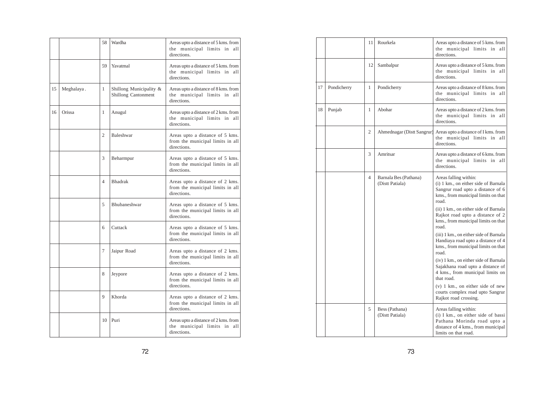|    |            | 58             | Wardha                                                | Areas upto a distance of 5 kms. from<br>the municipal limits in<br>all<br>directions. |
|----|------------|----------------|-------------------------------------------------------|---------------------------------------------------------------------------------------|
|    |            | 59             | Yavatmal                                              | Areas upto a distance of 5 kms. from<br>the municipal limits in all<br>directions.    |
| 15 | Meghalaya. | 1              | Shillong Municipality &<br><b>Shillong Cantonment</b> | Areas upto a distance of 8 kms. from<br>the municipal limits in all<br>directions.    |
| 16 | Orissa     | 1              | Anugul                                                | Areas upto a distance of 2 kms. from<br>the municipal limits in<br>all<br>directions. |
|    |            | 2              | Baleshwar                                             | Areas upto a distance of 5 kms.<br>from the municipal limits in all<br>directions.    |
|    |            | 3              | Beharmpur                                             | Areas upto a distance of 5 kms.<br>from the municipal limits in all<br>directions.    |
|    |            | $\overline{4}$ | <b>Bhadrak</b>                                        | Areas upto a distance of 2 kms.<br>from the municipal limits in all<br>directions.    |
|    |            | 5              | Bhubaneshwar                                          | Areas upto a distance of 5 kms.<br>from the municipal limits in all<br>directions     |
|    |            | 6              | Cuttack                                               | Areas upto a distance of 5 kms.<br>from the municipal limits in all<br>directions.    |
|    |            | 7              | Jaipur Road                                           | Areas upto a distance of 2 kms.<br>from the municipal limits in all<br>directions.    |
|    |            | 8              | Jeypore                                               | Areas upto a distance of 2 kms.<br>from the municipal limits in all<br>directions.    |
|    |            | 9              | Khorda                                                | Areas upto a distance of 2 kms.<br>from the municipal limits in all<br>directions.    |
|    |            | 10             | Puri                                                  | Areas upto a distance of 2 kms. from<br>the municipal limits in<br>all<br>directions. |

|    |             | 11 | Rourkela                                 | Areas upto a distance of 5 kms. from<br>the municipal limits in all<br>directions.                                                                       |
|----|-------------|----|------------------------------------------|----------------------------------------------------------------------------------------------------------------------------------------------------------|
|    |             | 12 | Sambalpur                                | Areas upto a distance of 5 kms. from<br>the municipal limits in all<br>directions.                                                                       |
| 17 | Pondicherry | 1  | Pondicherry                              | Areas upto a distance of 8 kms. from<br>the municipal limits in all<br>directions.                                                                       |
| 18 | Punjab      | 1  | Abohar                                   | Areas upto a distance of 2 kms. from<br>the municipal limits in all<br>directions.                                                                       |
|    |             | 2  | Ahmednagar (Distt Sangrur)               | Areas upto a distance of I kms. from<br>the municipal limits in all<br>directions.                                                                       |
|    |             | 3  | Amritsar                                 | Areas upto a distance of 6 kms. from<br>the municipal limits in all<br>directions.                                                                       |
|    |             | 4  | Barnala Bes (Pathana)<br>(Distt Patiala) | Areas falling within:<br>(i) 1 km., on either side of Barnala<br>Sangrur road upto a distance of 6<br>kms., from municipal limits on that<br>road.       |
|    |             |    |                                          | (ii) 1 km., on either side of Barnala<br>Rajkot road upto a distance of 2<br>kms., from municipal limits on that<br>road.                                |
|    |             |    |                                          | (iii) 1 km., on either side of Barnala<br>Handiaya road upto a distance of 4<br>kms., from municipal limits on that<br>road.                             |
|    |             |    |                                          | (iv) 1 km., on either side of Barnala<br>Sajakhana road upto a distance of<br>4 kms., from municipal limits on<br>that road.                             |
|    |             |    |                                          | $(v)$ 1 km., on either side of new<br>courts complex road upto Sangrur<br>Rajkot road crossing.                                                          |
|    |             | 5  | Bess (Pathana)<br>(Distt Patiala)        | Areas falling within:<br>(i) I km., on either side of bassi<br>Pathana Morinda road upto a<br>distance of 4 kms., from municipal<br>limits on that road. |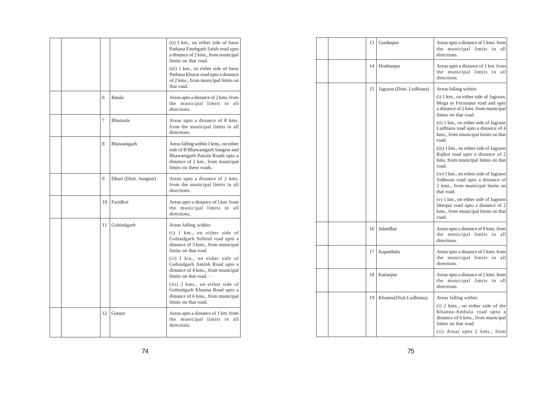|  |    |                        | (ii) I km., on either side of bassi<br>Pathana Fatehgarh Sahib road upto<br>a distance of 2 kms., from municipal<br>limits on that road.<br>(iii) 1 km., on either side of bassi<br>Pathana Kharar road upto a distance<br>of 2 kms., from municipal limits on<br>that road.                                                                                                                                                |
|--|----|------------------------|-----------------------------------------------------------------------------------------------------------------------------------------------------------------------------------------------------------------------------------------------------------------------------------------------------------------------------------------------------------------------------------------------------------------------------|
|  | 6  | Batala                 | Areas upto a distance of 2 kms. from<br>the municipal limits in<br>all<br>directions.                                                                                                                                                                                                                                                                                                                                       |
|  | 7  | Bhatinda               | Areas upto a distance of 8 kms.<br>from the municipal limits in all<br>directions.                                                                                                                                                                                                                                                                                                                                          |
|  | 8  | Bhawanigarh            | Areas falling within 1 kms., on either<br>side of B Bhawanigarh Sangrur and<br>Bhawanigarh Patiala Roads upto a<br>distance of 2 km., from municipal<br>limits on these roads.                                                                                                                                                                                                                                              |
|  | 9  | Dhuri (Distt. Sangrur) | Areas upto a distance of 2 kms.<br>from the municipal limits in all<br>directions.                                                                                                                                                                                                                                                                                                                                          |
|  | 10 | Faridkot               | Areas upto a distance of I km. from<br>the municipal limits in<br>all<br>directions,                                                                                                                                                                                                                                                                                                                                        |
|  | 11 | Gobindgarh             | Areas falling within:<br>$(i)$ 1 km., on either side of<br>Gobindgarh Sirhind road upto a<br>distance of 3 kms., from municipal<br>limits on that road.<br>(ii) I kin., on either side of<br>Gobindgarh Amloh Road upto a<br>distance of 4 kms., from municipal<br>limits on that road. -<br>(iii) 2 kms., on either side of<br>Gobindgarh Khanna Road upto a<br>distance of 6 kms., from municipal<br>limits on that road. |
|  | 12 | Goraye                 | Areas upto a distance of 1 km. from<br>the municipal limits in<br>all<br>directions.                                                                                                                                                                                                                                                                                                                                        |

| 13 | Gurdaspur                 | Areas upto a distance of 5 kms. from<br>the municipal limits in all<br>directions.                                                                                                                                                                                                                                                                                                                                                                                                                                                                                                                                                                                                      |
|----|---------------------------|-----------------------------------------------------------------------------------------------------------------------------------------------------------------------------------------------------------------------------------------------------------------------------------------------------------------------------------------------------------------------------------------------------------------------------------------------------------------------------------------------------------------------------------------------------------------------------------------------------------------------------------------------------------------------------------------|
| 14 | Hoshiarpur                | Areas upto a distance of 1 km. from<br>the municipal limits in all<br>directions.                                                                                                                                                                                                                                                                                                                                                                                                                                                                                                                                                                                                       |
| 15 | Jagraon (Distt. Ludhiana) | Areas falling within:<br>(i) 1 km., on either side of Jagraon,<br>Moga or Ferozepur road and upto<br>a distance of 2 kms. from municipal<br>limits on that road.<br>(ii) 1 km., on either side of Jagraon<br>Ludhiana road upto a distance of 4<br>kms., from municipal limits on that<br>road.<br>(iii) 1 km., on either side of Jagraon<br>Rajkot road upto a distance of 2<br>kms. from municipal limits on that<br>road.<br>(iv) 1 km., on either side of Jagraon<br>Sidhwan road upto a distance of<br>2 kms., from municipal limits on<br>that road.<br>(v) 1 km., on either side of Jagraon<br>Sherpur road upto a distance of 2<br>kms., from municipal limits on that<br>road. |
| 16 | Jalandhar                 | Areas upto a distance of 8 kms. from<br>the municipal limits in all<br>directions.                                                                                                                                                                                                                                                                                                                                                                                                                                                                                                                                                                                                      |
| 17 | Kapurthala                | Areas upto a distance of 2 kms. from<br>the municipal limits in all<br>directions.                                                                                                                                                                                                                                                                                                                                                                                                                                                                                                                                                                                                      |
| 18 | Kartarpur                 | Areas upto a distance of 2 kms. from<br>the municipal limits in all<br>directions.                                                                                                                                                                                                                                                                                                                                                                                                                                                                                                                                                                                                      |
| 19 | Khanna(Distt.Ludhiana)    | Areas falling within:<br>$(i)$ 2 kms., on either side of the<br>Khanna-Ambala road upto a<br>distance of 6 kms., from municipal<br>limits on that road.<br>(ii) Areas upto 2 kms., from                                                                                                                                                                                                                                                                                                                                                                                                                                                                                                 |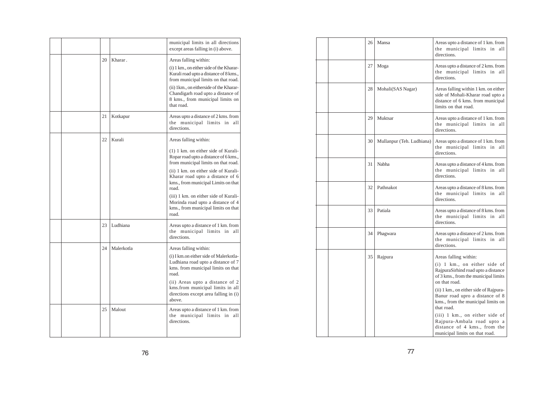|  |    |            | municipal limits in all directions<br>except areas falling in (i) above.                                                                                                                                                                                                                      |
|--|----|------------|-----------------------------------------------------------------------------------------------------------------------------------------------------------------------------------------------------------------------------------------------------------------------------------------------|
|  | 20 | Kharar.    | Areas falling within:<br>(i) 1 km., on either side of the Kharar-<br>Kurali road upto a distance of 8 kms.,<br>from municipal limits on that road.<br>(ii) 1km., on eitherside of the Kharar-<br>Chandigarh road upto a distance of<br>8 kms., from municipal limits on<br>that road.         |
|  | 21 | Kotkapur   | Areas upto a distance of 2 kms. from<br>the municipal limits in<br>all<br>directions.                                                                                                                                                                                                         |
|  | 22 | Kurali     | Areas falling within:<br>$(1)$ 1 km. on either side of Kurali-<br>Ropar road upto a distance of 6 kms.,                                                                                                                                                                                       |
|  |    |            | from municipal limits on that road.<br>(ii) 1 km, on either side of Kurali-<br>Kharar road upto a distance of 6<br>kms., from municipal Limits on that<br>road.<br>(iii) 1 km. on either side of Kurali-<br>Morinda road upto a distance of 4<br>kms., from municipal limits on that<br>road. |
|  | 23 | Ludhiana   | Areas upto a distance of 1 km. from<br>the municipal limits in<br>all<br>directions.                                                                                                                                                                                                          |
|  | 24 | Malerkotla | Areas falling within:<br>(i) I km.on either side of Malerkotla-<br>Ludhiana road upto a distance of 7<br>kms. from municipal limits on that<br>road.<br>(ii) Areas upto a distance of 2<br>kms.from municipal limits in all<br>directions except area falling in (i)<br>above.                |
|  | 25 | Malout     | Areas upto a distance of 1 km. from<br>the municipal limits in<br>all<br>directions.                                                                                                                                                                                                          |

| 26 | Mansa                     | Areas upto a distance of 1 km. from<br>the municipal limits in<br>all<br>directions.                                                                                                                                                                                                                                                                                                                                       |
|----|---------------------------|----------------------------------------------------------------------------------------------------------------------------------------------------------------------------------------------------------------------------------------------------------------------------------------------------------------------------------------------------------------------------------------------------------------------------|
| 27 | Moga                      | Areas upto a distance of 2 kms. from<br>the municipal limits in<br>all<br>directions.                                                                                                                                                                                                                                                                                                                                      |
| 28 | Mohali(SAS Nagar)         | Areas falling within 1 km. on either<br>side of Mohali-Kharar road upto a<br>distance of 6 kms. from municipal<br>limits on that road.                                                                                                                                                                                                                                                                                     |
| 29 | Muktsar                   | Areas upto a distance of 1 km. from<br>the municipal limits in<br>all<br>directions.                                                                                                                                                                                                                                                                                                                                       |
| 30 | Mullanpur (Teh. Ludhiana) | Areas upto a distance of 1 km. from<br>the municipal limits in<br>all<br>directions.                                                                                                                                                                                                                                                                                                                                       |
| 31 | Nabha                     | Areas upto a distance of 4 kms. from<br>the municipal limits in<br>all<br>directions.                                                                                                                                                                                                                                                                                                                                      |
| 32 | Pathnakot                 | Areas upto a distance of 8 kms. from<br>the municipal limits in<br>all<br>directions.                                                                                                                                                                                                                                                                                                                                      |
| 33 | Patiala                   | Areas upto a distance of 8 kms. from<br>the municipal limits in<br>all<br>directions.                                                                                                                                                                                                                                                                                                                                      |
| 34 | Phagwara                  | Areas upto a distance of 2 kms. from<br>the municipal limits in<br>all<br>directions.                                                                                                                                                                                                                                                                                                                                      |
| 35 | Rajpura                   | Areas falling within:<br>$(i)$ 1 km., on either side of<br>RajpuraSirhind road upto a distance<br>of 3 kms., from the municipal limits<br>on that road.<br>(ii) 1 km., on either side of Rajpura-<br>Banur road upro a distance of 8<br>kms., from the municipal limits on<br>that road.<br>(iii) 1 km., on either side of<br>Rajpura-Ambala road upto a<br>distance of 4 kms., from the<br>municipal limits on that road. |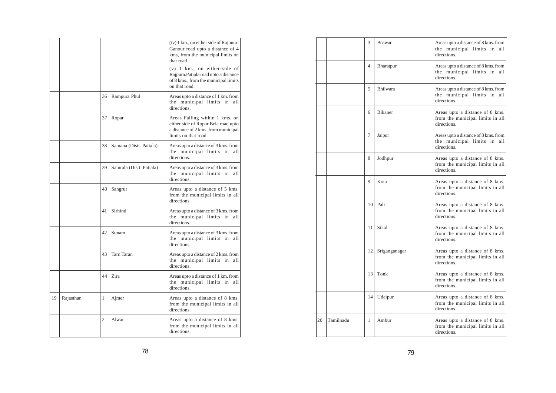|    |           |    |                          | (iv) 1 km., on either side of Rajpura-<br>Ganour road upto a distance of 4<br>kms, from the municipal limits on<br>that road.<br>$(v)$ 1 km., on either-side of<br>Rajpura. Patiala road upto a distance |
|----|-----------|----|--------------------------|----------------------------------------------------------------------------------------------------------------------------------------------------------------------------------------------------------|
|    |           |    |                          | of 8 kms., from the municipal limits<br>on that road.                                                                                                                                                    |
|    |           | 36 | Rampura Phul             | Areas upto a distance of 1 km. from<br>the municipal limits in<br>all<br>directions.                                                                                                                     |
|    |           | 37 | Ropar                    | Areas Falling within 1 kms. on<br>either side of Ropar Bela road upto<br>a distance of 2 kms. from municipal<br>limits on that road.                                                                     |
|    |           | 38 | Samana (Distt. Patiala)  | Areas upto a distance of 3 kms. from<br>the municipal limits in all<br>directions.                                                                                                                       |
|    |           | 39 | Samrala (Distt. Patiala) | Areas upto a distance of 3 kms. from<br>the municipal limits in<br>all<br>directions.                                                                                                                    |
|    |           | 40 | Sangrur                  | Areas upto a distance of 5 kms.<br>from the municipal limits in all<br>directions.                                                                                                                       |
|    |           | 41 | Sirhind                  | Areas upto a distance of 3 kms. from<br>the municipal limits in all<br>directions.                                                                                                                       |
|    |           | 42 | Sunam                    | Areas upto a distance of 3 kms. from<br>the municipal limits in<br>all<br>directions.                                                                                                                    |
|    |           | 43 | <b>Tarn Taran</b>        | Areas upto a distance of 2 kms. from<br>the municipal limits in<br>all<br>directions.                                                                                                                    |
|    |           | 44 | Zira                     | Areas upto a distance of 1 km. from<br>the municipal limits in<br>all<br>directions.                                                                                                                     |
| 19 | Rajasthan | 1  | Ajmer                    | Areas upto a distance of 8 kms.<br>from the municipal limits in all<br>directions.                                                                                                                       |
|    |           | 2  | Alwar                    | Areas upto a distance of 8 kms.<br>from the municipal limits in all<br>directions.                                                                                                                       |

|    |           | 3  | Beawar         | Areas upto a distance of 8 kms. from<br>the municipal limits in all<br>directions.    |
|----|-----------|----|----------------|---------------------------------------------------------------------------------------|
|    |           | 4  | Bharatpur      | Areas upto a distance of 8 kms. from<br>the municipal limits in all<br>directions.    |
|    |           | 5  | Bhilwara       | Areas upto a distance of 8 kms. from<br>the municipal limits in<br>all<br>directions. |
|    |           | 6  | <b>Bikaner</b> | Areas upto a distance of 8 kms.<br>from the municipal limits in all<br>directions.    |
|    |           | 7  | Jaipur         | Areas upto a distance of 8 kms. from<br>the municipal limits in all<br>directions.    |
|    |           | 8  | Jodhpur        | Areas upto a distance of 8 kms.<br>from the municipal limits in all<br>directions.    |
|    |           | 9  | Kota           | Areas upto a distance of 8 kms.<br>from the municipal limits in all<br>directions.    |
|    |           | 10 | Pali           | Areas upto a distance of 8 kms.<br>from the municipal limits in all<br>directions.    |
|    |           | 11 | Sikal          | Areas upto a distance of 8 kms.<br>from the municipal limits in all<br>directions.    |
|    |           | 12 | Sriganganagar  | Areas upto a distance of 8 kms.<br>from the municipal limits in all<br>directions.    |
|    |           | 13 | Tonk           | Areas upto a distance of 8 kms.<br>from the municipal limits in all<br>directions.    |
|    |           | 14 | Udaipur        | Areas upto a distance of 8 kms.<br>from the municipal limits in all<br>directions.    |
| 20 | Tamilnadu | 1  | Ambur          | Areas upto a distance of 8 kms.<br>from the municipal limits in all<br>directions.    |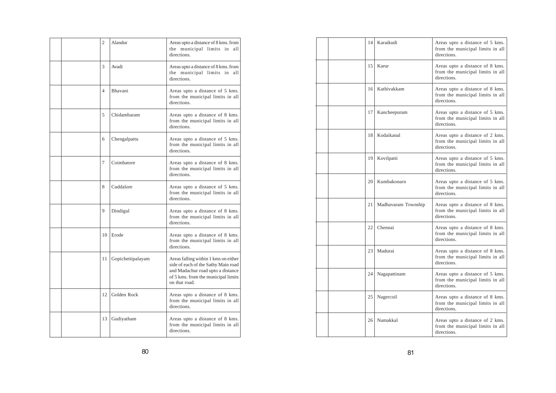|  | $\overline{c}$ | Alandur           | Areas upto a distance of 8 kms. from<br>the municipal limits in<br>all<br>directions.                                                                                    |
|--|----------------|-------------------|--------------------------------------------------------------------------------------------------------------------------------------------------------------------------|
|  | 3              | Avadi             | Areas upto a distance of 8 kms. from<br>the municipal limits in<br>all<br>directions.                                                                                    |
|  | $\overline{4}$ | Bhavani           | Areas upto a distance of 5 kms.<br>from the municipal limits in all<br>directions.                                                                                       |
|  | 5              | Chidambaram       | Areas upto a distance of 8 kms.<br>from the municipal limits in all<br>directions.                                                                                       |
|  | 6              | Chengalpattu      | Areas upto a distance of 5 kms.<br>from the municipal limits in all<br>directions.                                                                                       |
|  | 7              | Coimbatore        | Areas upto a distance of 8 kms.<br>from the municipal limits in all<br>directions.                                                                                       |
|  | 8              | Cuddalore         | Areas upto a distance of 5 kms.<br>from the municipal limits in all<br>directions                                                                                        |
|  | 9              | Dindigul          | Areas upto a distance of 8 kms.<br>from the municipal limits in all<br>directions                                                                                        |
|  | 10             | Erode             | Areas upto a distance of 8 kms.<br>from the municipal limits in all<br>directions.                                                                                       |
|  | 11             | Gopichettipalayam | Areas falling within 1 kms on either<br>side of each of the Sathy Main road<br>and Madachur road upto a distance<br>of 5 kms. from the municipal limits<br>on that road. |
|  | 12             | Golden Rock       | Areas upto a distance of 8 kms.<br>from the municipal limits in all<br>directions.                                                                                       |
|  | 13             | Gudiyatham        | Areas upto a distance of 8 kms.<br>from the municipal limits in all<br>directions.                                                                                       |

| 14              | Karaikudi           | Areas upto a distance of 5 kms.<br>from the municipal limits in all<br>directions. |
|-----------------|---------------------|------------------------------------------------------------------------------------|
| 15              | Karur               | Areas upto a distance of 8 kms.<br>from the municipal limits in all<br>directions. |
| 16 <sup>1</sup> | Kathivakkam         | Areas upto a distance of 8 kms.<br>from the municipal limits in all<br>directions. |
| 17              | Kancheepuram        | Areas upto a distance of 5 kms.<br>from the municipal limits in all<br>directions. |
| 18              | Kodaikanal          | Areas upto a distance of 2 kms.<br>from the municipal limits in all<br>directions. |
| 19              | Kovilpatti          | Areas upto a distance of 5 kms.<br>from the municipal limits in all<br>directions. |
| 20              | Kumbakonarn         | Areas upto a distance of 5 kms.<br>from the municipal limits in all<br>directions. |
| 21              | Madhavaram Township | Areas upto a distance of 8 kms.<br>from the municipal limits in all<br>directions. |
| 22              | Chennai             | Areas upto a distance of 8 kms.<br>from the municipal limits in all<br>directions. |
| 23              | Madurai             | Areas upto a distance of 8 kms.<br>from the municipal limits in all<br>directions. |
| 24              | Nagapattinam        | Areas upto a distance of 5 kms.<br>from the municipal limits in all<br>directions. |
| 25              | Nagercoil           | Areas upto a distance of 8 kms.<br>from the municipal limits in all<br>directions. |
| 26              | Namakkal            | Areas upto a distance of 2 kms.<br>from the municipal limits in all<br>directions. |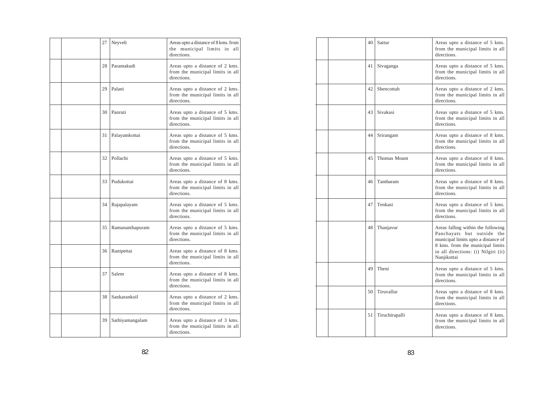|  | 27 | Neyveli         | Areas upto a distance of 8 kms. from<br>the municipal limits in<br>all<br>directions. |
|--|----|-----------------|---------------------------------------------------------------------------------------|
|  | 28 | Paramakudi      | Areas upto a distance of 2 kms.<br>from the municipal limits in all<br>directions.    |
|  | 29 | Palani          | Areas upto a distance of 2 kms.<br>from the municipal limits in all<br>directions.    |
|  | 30 | Panruti         | Areas upto a distance of 5 kms.<br>from the municipal limits in all<br>directions     |
|  | 31 | Palayamkottai   | Areas upto a distance of 5 kms.<br>from the municipal limits in all<br>directions.    |
|  | 32 | Pollachi        | Areas upto a distance of 5 kms.<br>from the municipal limits in all<br>directions.    |
|  | 33 | Pudukottai      | Areas upto a distance of 8 kms.<br>from the municipal limits in all<br>directions.    |
|  | 34 | Rajapalayam     | Areas upto a distance of 5 kms.<br>from the municipal limits in all<br>directions.    |
|  | 35 | Ramananthapuram | Areas upto a distance of 5 kms.<br>from the municipal limits in all<br>directions.    |
|  | 36 | Ranipettai      | Areas upto a distance of 8 kms.<br>from the municipal limits in all<br>directions.    |
|  | 37 | Salem           | Areas upto a distance of 8 kms.<br>from the municipal limits in all<br>directions.    |
|  | 38 | Sankarankoil    | Areas upto a distance of 2 kms.<br>from the municipal limits in all<br>directions.    |
|  | 39 | Sathiyamangalam | Areas upto a distance of 3 kms.<br>from the municipal limits in all<br>directions.    |

| 40 | Sattur         | Areas upto a distance of 5 kms.<br>from the municipal limits in all<br>directions.                                                                                                                |
|----|----------------|---------------------------------------------------------------------------------------------------------------------------------------------------------------------------------------------------|
| 41 | Sivaganga      | Areas upto a distance of 5 kms.<br>from the municipal limits in all<br>directions.                                                                                                                |
| 42 | Shencottah     | Areas upto a distance of 2 kms.<br>from the municipal limits in all<br>directions.                                                                                                                |
| 43 | Sivakasi       | Areas upto a distance of 5 kms.<br>from the municipal limits in all<br>directions.                                                                                                                |
| 44 | Srirangam      | Areas upto a distance of 8 kms.<br>from the municipal limits in all<br>directions.                                                                                                                |
| 45 | Thomas Mount   | Areas upto a distance of 8 kms.<br>from the municipal limits in all<br>directions.                                                                                                                |
| 46 | Tambaram       | Areas upto a distance of 8 kms.<br>from the municipal limits in all<br>directions.                                                                                                                |
| 47 | Tenkasi        | Areas upto a distance of 5 kms.<br>from the municipal limits in all<br>directions.                                                                                                                |
| 48 | Thanjavur      | Areas falling within the following<br>Panchayats but outside the<br>municipal limits upto a distance of<br>8 kms. from the municipal limits<br>in all directions: (i) Nilgiri (ii)<br>Nanjikottai |
| 49 | Theni          | Areas upto a distance of 5 kms.<br>from the municipal limits in all<br>directions.                                                                                                                |
| 50 | Tiruvallur     | Areas upto a distance of 8 kms.<br>from the municipal limits in all<br>directions.                                                                                                                |
| 51 | Tiruchirapalli | Areas upto a distance of 8 kms.<br>from the municipal limits in all<br>directions.                                                                                                                |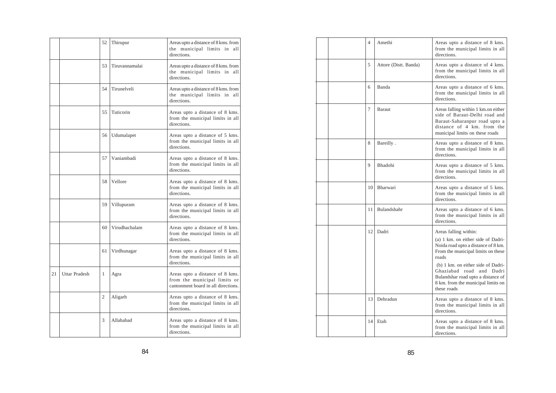|    |                      | 52             | Thirupur       | Areas upto a distance of 8 kms. from<br>the municipal limits in<br>all<br>directions.                  |
|----|----------------------|----------------|----------------|--------------------------------------------------------------------------------------------------------|
|    |                      | 53             | Tiruvannamalai | Areas upto a distance of 8 kms. from<br>the municipal limits in all<br>directions.                     |
|    |                      | 54             | Tirunelveli    | Areas upto a distance of 8 kms. from<br>the municipal limits in all<br>directions.                     |
|    |                      | 55             | Tuticorin      | Areas upto a distance of 8 kms.<br>from the municipal limits in all<br>directions.                     |
|    |                      | 56             | Udumalapet     | Areas upto a distance of 5 kms.<br>from the municipal limits in all<br>directions.                     |
|    |                      | 57             | Vaniambadi     | Areas upto a distance of 8 kms.<br>from the municipal limits in all<br>directions.                     |
|    |                      | 58             | Vellore        | Areas upto a distance of 8 kms.<br>from the municipal limits in all<br>directions.                     |
|    |                      | 59             | Villupuram     | Areas upto a distance of 8 kms.<br>from the municipal limits in all<br>directions.                     |
|    |                      | 60             | Virudhachalam  | Areas upto a distance of 8 kms.<br>from the municipal limits in all<br>directions.                     |
|    |                      | 61             | Virdhunagar    | Areas upto a distance of 8 kms.<br>from the municipal limits in all<br>directions.                     |
| 21 | <b>Uttar Pradesh</b> | 1              | Agra           | Areas upto a distance of 8 kms.<br>from the municipal limits or<br>cantonment board in all directions. |
|    |                      | $\overline{2}$ | Aligarh        | Areas upto a distance of 8 kms.<br>from the municipal limits in all<br>directions.                     |
|    |                      | 3              | Allahabad      | Areas upto a distance of 8 kms.<br>from the municipal limits in all<br>directions.                     |

| 4  | Amethi                | Areas upto a distance of 8 kms.<br>from the municipal limits in all<br>directions.                                                                                                                                                                                                                                   |
|----|-----------------------|----------------------------------------------------------------------------------------------------------------------------------------------------------------------------------------------------------------------------------------------------------------------------------------------------------------------|
| 5  | Attore (Distt. Banda) | Areas upto a distance of 4 kms.<br>from the municipal limits in all<br>directions.                                                                                                                                                                                                                                   |
| 6  | Banda                 | Areas upto a distance of 6 kms.<br>from the municipal limits in all<br>directions.                                                                                                                                                                                                                                   |
| 7  | Baraut                | Areas falling within 1 km.on either<br>side of Baraut-Delhi road and<br>Baraut-Saharanpur road upto a<br>distance of 4 km. from the<br>municipal limits on these roads                                                                                                                                               |
| 8  | Bareilly.             | Areas upto a distance of 8 kms.<br>from the municipal limits in all<br>directions.                                                                                                                                                                                                                                   |
| 9  | Bhadohi               | Areas upto a distance of 5 kms.<br>from the municipal limits in all<br>directions.                                                                                                                                                                                                                                   |
| 10 | Bharwari              | Areas upto a distance of 5 kms.<br>from the municipal limits in all<br>directions.                                                                                                                                                                                                                                   |
| 11 | Bulandshahr           | Areas upto a distance of 6 kms.<br>from the municipal limits in all<br>directions.                                                                                                                                                                                                                                   |
| 12 | Dadri                 | Areas falling within:<br>(a) 1 km. on either side of Dadri-<br>Noida road upto a distance of 8 km.<br>From the municipal limits on these<br>roads<br>(b) 1 km, on either side of Dadri-<br>Ghaziabad road<br>and<br>Dadri<br>Bulandshar road upto a distance of<br>8 km. from the municipal limits on<br>these roads |
| 13 | Dehradun              | Areas upto a distance of 8 kms.<br>from the municipal limits in all<br>directions.                                                                                                                                                                                                                                   |
| 14 | Etah                  | Areas upto a distance of 8 kms.<br>from the municipal limits in all<br>directions.                                                                                                                                                                                                                                   |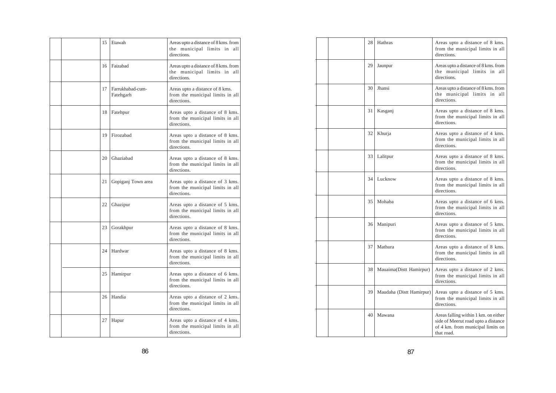|  | 15 | Etawah                        | Areas upto a distance of 8 kms. from<br>the municipal limits in<br>all<br>directions. |
|--|----|-------------------------------|---------------------------------------------------------------------------------------|
|  | 16 | Faizabad                      | Areas upto a distance of 8 kms. from<br>the municipal limits in all<br>directions.    |
|  | 17 | Farrukhabad-cum-<br>Fatehgarh | Areas upto a distance of 8 kms.<br>from the municipal limits in all<br>directions.    |
|  | 18 | Fatehpur                      | Areas upto a distance of 8 kms.<br>from the municipal limits in all<br>directions.    |
|  | 19 | Firozabad                     | Areas upto a distance of 8 kms.<br>from the municipal limits in all<br>directions.    |
|  | 20 | Ghaziabad                     | Areas upto a distance of 8 kms.<br>from the municipal limits in all<br>directions.    |
|  | 21 | Gopiganj Town area            | Areas upto a distance of 3 kms.<br>from the municipal limits in all<br>directions.    |
|  | 22 | Ghazipur                      | Areas upto a distance of 5 kms.<br>from the municipal limits in all<br>directions.    |
|  | 23 | Gorakhpur                     | Areas upto a distance of 8 kms.<br>from the municipal limits in all<br>directions.    |
|  | 24 | Hardwar                       | Areas upto a distance of 8 kms.<br>from the municipal limits in all<br>directions.    |
|  | 25 | Hamirpur                      | Areas upto a distance of 6 kms.<br>from the municipal limits in all<br>directions.    |
|  | 26 | Handia                        | Areas upto a distance of 2 kms.<br>from the municipal limits in all<br>directions.    |
|  | 27 | Hapur                         | Areas upto a distance of 4 kms.<br>from the municipal limits in all<br>directions.    |

| 28 | Hathras                  | Areas upto a distance of 8 kms.<br>from the municipal limits in all<br>directions.                                             |
|----|--------------------------|--------------------------------------------------------------------------------------------------------------------------------|
| 29 | Jaunpur                  | Areas upto a distance of 8 kms. from<br>the municipal limits in all<br>directions.                                             |
| 30 | Jhansi                   | Areas upto a distance of 8 kms. from<br>the municipal limits in all<br>directions.                                             |
| 31 | Kasganj                  | Areas upto a distance of 8 kms.<br>from the municipal limits in all<br>directions.                                             |
| 32 | Khurja                   | Areas upto a distance of 4 kms.<br>from the municipal limits in all<br>directions.                                             |
| 33 | Lalitpur                 | Areas upto a distance of 8 kms.<br>from the municipal limits in all<br>directions.                                             |
| 34 | Lucknow                  | Areas upto a distance of 8 kms.<br>from the municipal limits in all<br>directions.                                             |
| 35 | Mohaba                   | Areas upto a distance of 6 kms.<br>from the municipal limits in all<br>directions.                                             |
| 36 | Manipuri                 | Areas upto a distance of 5 kms.<br>from the municipal limits in all<br>directions.                                             |
| 37 | Mathura                  | Areas upto a distance of 8 kms.<br>from the municipal limits in all<br>directions.                                             |
| 38 | Mauaima(Distt Hamirpur)  | Areas upto a distance of 2 kms.<br>from the municipal limits in all<br>directions.                                             |
| 39 | Maudaha (Distt Hamirpur) | Areas upto a distance of 5 kms.<br>from the municipal limits in all<br>directions.                                             |
| 40 | Mawana                   | Areas falling within 1 km. on either<br>side of Meerut road upto a distance<br>of 4 km. from municipal limits on<br>that road. |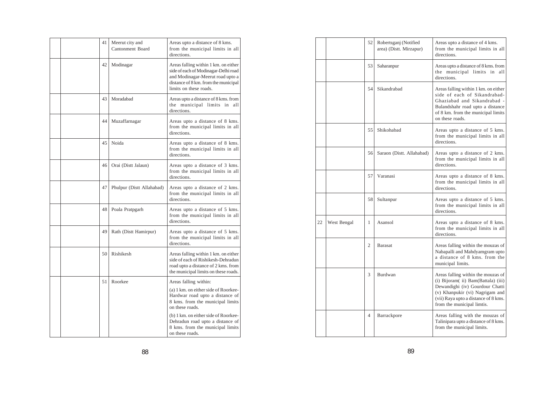|  | 41 | Meerut city and<br>Cantonment Board | Areas upto a distance of 8 kms.<br>from the municipal limits in all<br>directions.                                                                                                 |
|--|----|-------------------------------------|------------------------------------------------------------------------------------------------------------------------------------------------------------------------------------|
|  | 42 | Modinagar                           | Areas falling within 1 km. on either<br>side of each of Modinagar-Delhi road<br>and Modinagar-Meerut road upto a<br>distance of 8 km. from the municipal<br>limits on these roads. |
|  | 43 | Moradabad                           | Areas upto a distance of 8 kms. from<br>the municipal limits in all<br>directions.                                                                                                 |
|  | 44 | Muzaffarnagar                       | Areas upto a distance of 8 kms.<br>from the municipal limits in all<br>directions.                                                                                                 |
|  | 45 | Noida                               | Areas upto a distance of 8 kms.<br>from the municipal limits in all<br>directions.                                                                                                 |
|  | 46 | Orai (Distt Jalaun)                 | Areas upto a distance of 3 kms.<br>from the municipal limits in all<br>directions.                                                                                                 |
|  | 47 | Phulpur (Distt Allahabad)           | Areas upto a distance of 2 kms.<br>from the municipal limits in all<br>directions.                                                                                                 |
|  | 48 | Poala Pratpgarh                     | Areas upto a distance of 5 kms.<br>from the municipal limits in all<br>directions.                                                                                                 |
|  | 49 | Rath (Distt Hamirpur)               | Areas upto a distance of 5 kms.<br>from the municipal limits in all<br>directions.                                                                                                 |
|  | 50 | Rishikesh                           | Areas falling within 1 km. on either<br>side of each of Rishikesh-Dehradun<br>road upto a distance of 2 kms. from<br>the municipal limits on these roads.                          |
|  | 51 | Roorkee                             | Areas falling within:                                                                                                                                                              |
|  |    |                                     | (a) 1 km. on either side of Roorkee-<br>Hardwar road upto a distance of<br>8 kms. from the municipal limits<br>on these roads.                                                     |
|  |    |                                     | (b) 1 km, on either side of Roorkee-<br>Dehradun road upto a distance of<br>8 kms. from the municipal limits<br>on these roads.                                                    |

|    |             | 52             | Robertsganj (Notified<br>area) (Distt. Mirzapur) | Areas upto a distance of 4 kms.<br>from the municipal limits in all<br>directions.                                                                                                                                   |
|----|-------------|----------------|--------------------------------------------------|----------------------------------------------------------------------------------------------------------------------------------------------------------------------------------------------------------------------|
|    |             | 53             | Saharanpur                                       | Areas upto a distance of 8 kms. from<br>the municipal limits in all<br>directions.                                                                                                                                   |
|    |             | 54             | Sikandrabad                                      | Areas falling within 1 km. on either<br>side of each of Sikandrabad-<br>Ghaziabad and Sikandrabad -<br>Bulandshahr road upto a distance<br>of 8 km. from the municipal limits<br>on these roads.                     |
|    |             | 55             | Shikohabad                                       | Areas upto a distance of 5 kms.<br>from the municipal limits in all<br>directions.                                                                                                                                   |
|    |             | 56             | Saraon (Distt. Allahabad)                        | Areas upto a distance of 2 kms.<br>from the municipal limits in all<br>directions.                                                                                                                                   |
|    |             | 57             | Varanasi                                         | Areas upto a distance of 8 kms.<br>from the municipal limits in all<br>directions.                                                                                                                                   |
|    |             | 58             | Sultanpur                                        | Areas upto a distance of 5 kms.<br>from the municipal limits in all<br>directions.                                                                                                                                   |
| 22 | West Bengal | 1              | Asansol                                          | Areas upto a distance of 8 kms.<br>from the municipal limits in all<br>directions.                                                                                                                                   |
|    |             | $\overline{c}$ | <b>Barasat</b>                                   | Areas falling within the mouzas of<br>Nabapalli and Mahdyamgram upto<br>a distance of 8 kms. from the<br>municipal limits.                                                                                           |
|    |             | 3              | Burdwan                                          | Areas falling within the mouzas of<br>(i) Bijoram(ii) Bam(Battala) (iii)<br>Dewandighi (iv) Gourdour Chatti<br>(v) Khanpukir (vi) Nagrigam and<br>(vii) Raya upto a distance of 8 kms.<br>from the municipal limtis. |
|    |             | $\overline{4}$ | Barrackpore                                      | Areas falling with the mouzas of<br>Talinipara upto a distance of 8 kms.<br>from the municipal limits.                                                                                                               |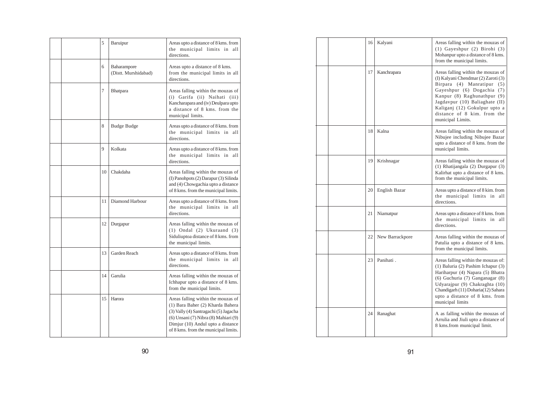|  | 5  | Baruipur                            | Areas upto a distance of 8 kms. from<br>the municipal limits in<br>all<br>directions.                                                                                                                                                |
|--|----|-------------------------------------|--------------------------------------------------------------------------------------------------------------------------------------------------------------------------------------------------------------------------------------|
|  | 6  | Baharampore<br>(Distt. Murshidabad) | Areas upto a distance of 8 kms.<br>from the municipal limits in all<br>directions.                                                                                                                                                   |
|  | 7  | <b>Bhatpara</b>                     | Areas falling within the mouzas of<br>(i) Garifa (ii) Naihati (iii)<br>Kancharapara and (iv) Deulpara upto<br>a distance of 8 kms, from the<br>municipal limits.                                                                     |
|  | 8  | Budge Budge                         | Areas upto a distance of 8 kms. from<br>the municipal limits in<br>all<br>directions.                                                                                                                                                |
|  | 9  | Kolkata                             | Areas upto a distance of 8 kms. from<br>the municipal limits in<br>all<br>directions.                                                                                                                                                |
|  | 10 | Chakdaha                            | Areas falling within the mouzas of<br>(I) Panohpots (2) Darapur (3) Silinda<br>and (4) Chowgachia upto a distance<br>of 8 kms. from the municipal limits.                                                                            |
|  | 11 | Diamond Harbour                     | Areas upto a distance of 8 kms. from<br>the municipal limits in<br>all<br>directions.                                                                                                                                                |
|  | 12 | Durgapur                            | Areas falling within the mouzas of<br>$(1)$ Ondal $(2)$ Ukuraand $(3)$<br>Siduliuptoa distance of 8 kms. from<br>the municipal limits.                                                                                               |
|  | 13 | Garden Reach                        | Areas upto a distance of 8 kms. from<br>the municipal limits in<br>all<br>directions.                                                                                                                                                |
|  | 14 | Garulia                             | Areas falling within the mouzas of<br>Ichhapur upto a distance of 8 kms.<br>from the municipal limits.                                                                                                                               |
|  | 15 | Harora                              | Areas falling within the mouzas of<br>(1) Bara Baher (2) Kharda Bahera<br>(3) Vally (4) Santragachi (5) Jagacha<br>(6) Unsani (7) Nibra (8) Mahiari (9)<br>Dimjur (10) Andul upto a distance<br>of 8 kms. from the municipal limits. |

| 16 | Kalyani         | Areas falling within the mouzas of<br>(1) Gayeshpur (2) Birohi (3)<br>Mohanpur upto a distance of 8 kms.<br>from the municipal limits.                                                                                                                                                         |
|----|-----------------|------------------------------------------------------------------------------------------------------------------------------------------------------------------------------------------------------------------------------------------------------------------------------------------------|
| 17 | Kanchrapara     | Areas falling within the mouzas of<br>(I) Kalyani Chendmar (2) Zaroti (3)<br>Birpara (4) Manratipur<br>(5)<br>Gayeshpur (6) Dogachia (7)<br>Kanpur (8) Raghunathpur (9)<br>Jagdavpur (10) Baliaghate (II)<br>Kaliganj (12) Gokulpur upto a<br>distance of 8 kim. from the<br>municipal Limits. |
| 18 | Kalna           | Areas falling within the mouzas of<br>Nibujee including Nibujee Bazar<br>upto a distance of 8 kms. from the<br>municipal limits.                                                                                                                                                               |
| 19 | Krishnagar      | Areas falling within the mouzas of<br>(1) Rhatijangala (2) Durgapur (3)<br>Kalirhat upto a distance of 8 kms.<br>from the municipal limits.                                                                                                                                                    |
| 20 | English Bazar   | Areas upto a distance of 8 kim. from<br>the municipal limits in all<br>directions.                                                                                                                                                                                                             |
| 21 | Niamatpur       | Areas upto a distance of 8 kms. from<br>the municipal limits in<br>all<br>directions.                                                                                                                                                                                                          |
| 22 | New Barrackpore | Areas falling within the mouzas of<br>Patulia upto a distance of 8 kms.<br>from the municipal limits.                                                                                                                                                                                          |
| 23 | Panihati.       | Areas falling within the mouzas of:<br>(1) Baluria (2) Pashim Ichapur (3)<br>Hariharpur (4) Napara (5) Bhatra<br>(6) Guchuria (7) Ganganagar (8)<br>Udyarajpur (9) Chakraghta (10)<br>Chandigarh (11) Doharia(12) Sahara<br>upto a distance of 8 kms. from<br>municipal limits                 |
| 24 | Ranaghat        | A as falling within the mouzas of<br>Arrulia and Jiuli upto a distance of<br>8 kms.from municipal limit.                                                                                                                                                                                       |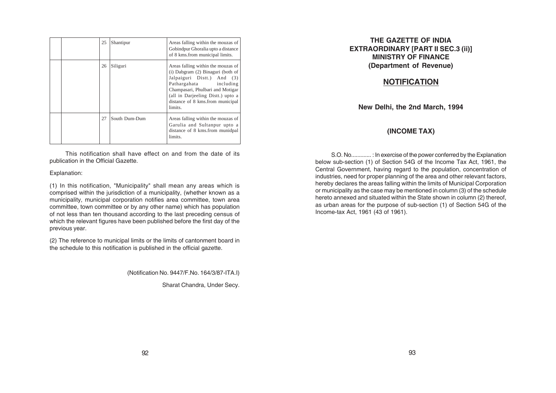|  | 25 | Shantipur     | Areas falling within the mouzas of<br>Gobindpur Ghoralia upto a distance<br>of 8 kms.from municipal limits.                                                                                                                                             |
|--|----|---------------|---------------------------------------------------------------------------------------------------------------------------------------------------------------------------------------------------------------------------------------------------------|
|  | 26 | Siliguri      | Areas falling within the mouzas of<br>(i) Dabgram (2) Binaguri (both of<br>Jalpaiguri Distt.) And (3)<br>Pathargahata including<br>Champasari, Phulbari and Motigar<br>(all in Darjeeling Distt.) upto a<br>distance of 8 kms.from municipal<br>limits. |
|  | 27 | South Dum-Dum | Areas falling within the mouzas of<br>Garulia and Sultanpur upto a<br>distance of 8 kms.from munidpal<br>limits.                                                                                                                                        |

This notification shall have effect on and from the date of its publication in the Official Gazette.

#### Explanation:

(1) In this notification, "Municipality" shall mean any areas which is comprised within the jurisdiction of a municipality, (whether known as a municipality, municipal corporation notifies area committee, town area committee, town committee or by any other name) which has population of not less than ten thousand according to the last preceding census of which the relevant figures have been published before the first day of the previous year.

(2) The reference to municipal limits or the limits of cantonment board in the schedule to this notification is published in the official gazette.

(Notification No. 9447/F.No. 164/3/87-ITA.I)

Sharat Chandra, Under Secy.

#### **THE GAZETTE OF INDIA EXTRAORDINARY [PART II SEC.3 (ii)] MINISTRY OF FINANCE (Department of Revenue)**

## **NOTIFICATION**

**New Delhi, the 2nd March, 1994**

#### **(INCOME TAX)**

S.O. No............. : In exercise of the power conferred by the Explanation below sub-section (1) of Section 54G of the Income Tax Act, 1961, the Central Government, having regard to the population, concentration of industries, need for proper planning of the area and other relevant factors, hereby declares the areas falling within the limits of Municipal Corporation or municipality as the case may be mentioned in column (3) of the schedule hereto annexed and situated within the State shown in column (2) thereof, as urban areas for the purpose of sub-section (1) of Section 54G of the Income-tax Act, 1961 (43 of 1961).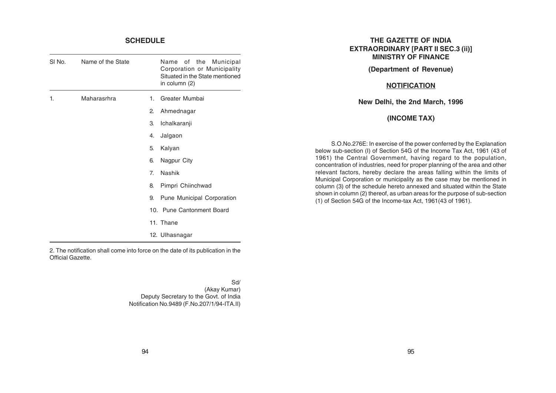#### **SCHEDULE**

J.

÷

| SI No. | Name of the State |                | Name of the Municipal<br>Corporation or Municipality<br>Situated in the State mentioned<br>in column (2) |
|--------|-------------------|----------------|----------------------------------------------------------------------------------------------------------|
| 1.     | Maharasrhra       | $1_{-}$        | Greater Mumbai                                                                                           |
|        |                   | 2.             | Ahmednagar                                                                                               |
|        |                   | З.             | Ichalkaranji                                                                                             |
|        |                   | 4.             | Jalgaon                                                                                                  |
|        |                   | 5.             | Kalyan                                                                                                   |
|        |                   | 6.             | Nagpur City                                                                                              |
|        |                   | 7 <sub>1</sub> | Nashik                                                                                                   |
|        |                   | 8.             | Pimpri Chiinchwad                                                                                        |
|        |                   | 9.             | Pune Municipal Corporation                                                                               |
|        |                   |                | 10. Pune Cantonment Board                                                                                |
|        |                   |                | 11. Thane                                                                                                |
|        |                   |                | 12. Ulhasnagar                                                                                           |
|        |                   |                |                                                                                                          |

2. The notification shall come into force on the date of its publication in the Official Gazette.

> Sd/ (Akay Kumar) Deputy Secretary to the Govt. of India Notification No.9489 (F.No.207/1/94-ITA.II)

#### **THE GAZETTE OF INDIA EXTRAORDINARY [PART II SEC.3 (ii)] MINISTRY OF FINANCE**

#### **(Department of Revenue)**

#### **NOTIFICATION**

**New Delhi, the 2nd March, 1996**

#### **(INCOME TAX)**

S.O.No.276E: In exercise of the power conferred by the Explanation below sub-section (I) of Section 54G of the Income Tax Act, 1961 (43 of 1961) the Central Government, having regard to the population, concentration of industries, need for proper planning of the area and other relevant factors, hereby declare the areas falling within the limits of Municipal Corporation or municipality as the case may be mentioned in column (3) of the schedule hereto annexed and situated within the State shown in column (2) thereof, as urban areas for the purpose of sub-section (1) of Section 54G of the Income-tax Act, 1961(43 of 1961).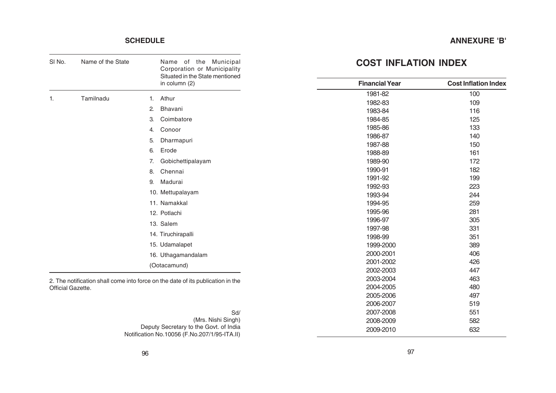# **ANNEXURE 'B'**

# **SCHEDULE**

| SI No.            | Name of the State | Name of the Municipal<br>Corporation or Municipality<br>Situated in the State mentioned  | <b>COST INFLATION INDEX</b> |                             |
|-------------------|-------------------|------------------------------------------------------------------------------------------|-----------------------------|-----------------------------|
|                   |                   | in column (2)                                                                            | <b>Financial Year</b>       | <b>Cost Inflation Index</b> |
| 1.                | Tamilnadu         | Athur<br>1.                                                                              | 1981-82                     | 100                         |
|                   |                   |                                                                                          | 1982-83                     | 109                         |
|                   |                   | Bhavani<br>2.                                                                            | 1983-84                     | 116                         |
|                   |                   | З.<br>Coimbatore                                                                         | 1984-85                     | 125                         |
|                   |                   | Conoor<br>4.                                                                             | 1985-86                     | 133                         |
|                   |                   | 5.<br>Dharmapuri                                                                         | 1986-87                     | 140                         |
|                   |                   | Erode<br>6.                                                                              | 1987-88                     | 150                         |
|                   |                   |                                                                                          | 1988-89                     | 161                         |
|                   |                   | Gobichettipalayam<br>7.                                                                  | 1989-90                     | 172                         |
|                   |                   | 8.<br>Chennai                                                                            | 1990-91                     | 182                         |
|                   |                   | Madurai<br>9.                                                                            | 1991-92                     | 199                         |
|                   |                   | 10. Mettupalayam                                                                         | 1992-93<br>1993-94          | 223<br>244                  |
|                   |                   | 11. Namakkal                                                                             | 1994-95                     | 259                         |
|                   |                   |                                                                                          | 1995-96                     | 281                         |
|                   |                   | 12. Potlachi                                                                             | 1996-97                     | 305                         |
|                   |                   | 13. Salem                                                                                | 1997-98                     | 331                         |
|                   |                   | 14. Tiruchirapalli                                                                       | 1998-99                     | 351                         |
|                   |                   | 15. Udamalapet                                                                           | 1999-2000                   | 389                         |
|                   |                   | 16. Uthagamandalam                                                                       | 2000-2001                   | 406                         |
|                   |                   | (Ootacamund)                                                                             | 2001-2002                   | 426                         |
|                   |                   |                                                                                          | 2002-2003                   | 447                         |
|                   |                   | 2. The notification shall come into force on the date of its publication in the          | 2003-2004                   | 463                         |
| Official Gazette. |                   |                                                                                          | 2004-2005                   | 480                         |
|                   |                   |                                                                                          | 2005-2006                   | 497                         |
|                   |                   |                                                                                          | 2006-2007                   | 519                         |
|                   |                   | Sd/                                                                                      | 2007-2008                   | 551                         |
|                   |                   | (Mrs. Nishi Singh)                                                                       | 2008-2009                   | 582                         |
|                   |                   | Deputy Secretary to the Govt. of India<br>Notification No. 10056 (E No. 207/1/05 ITA II) | 2009-2010                   | 632                         |

Notification No.10056 (F.No.207/1/95-ITA.II)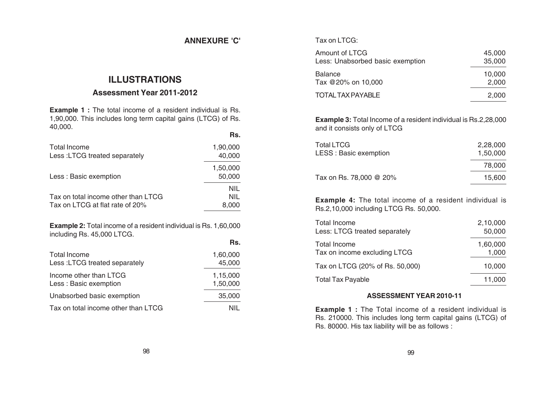# **ANNEXURE 'C'**

**Rs.**

# **ILLUSTRATIONS**

# **Assessment Year 2011-2012**

**Example 1 :** The total income of a resident individual is Rs. 1,90,000. This includes long term capital gains (LTCG) of Rs. 40,000.

|                                                                                                       | Rs.                               |
|-------------------------------------------------------------------------------------------------------|-----------------------------------|
| Total Income<br>Less: LTCG treated separately                                                         | 1,90,000<br>40,000                |
| Less: Basic exemption                                                                                 | 1,50,000<br>50,000                |
| Tax on total income other than LTCG<br>Tax on LTCG at flat rate of 20%                                | <b>NIL</b><br><b>NIL</b><br>8,000 |
| <b>Example 2:</b> Total income of a resident individual is Rs. 1,60,000<br>including Rs. 45,000 LTCG. |                                   |

| Total Income                        | 1.60.000 |
|-------------------------------------|----------|
| Less: LTCG treated separately       | 45,000   |
| Income other than LTCG              | 1,15,000 |
| Less: Basic exemption               | 1,50,000 |
| Unabsorbed basic exemption          | 35,000   |
| Tax on total income other than LTCG |          |

## Tax on LTCG:

| Amount of LTCG                   | 45.000 |
|----------------------------------|--------|
| Less: Unabsorbed basic exemption | 35,000 |
| <b>Balance</b>                   | 10,000 |
| Tax @20% on 10,000               | 2,000  |
| TOTAL TAX PAYABLE                | 2,000  |

**Example 3:** Total Income of a resident individual is Rs.2,28,000 and it consists only of LTCG

| <b>Total LTCG</b><br>LESS : Basic exemption | 2,28,000<br>1,50,000 |
|---------------------------------------------|----------------------|
|                                             | 78,000               |
| Tax on Rs. 78,000 @ 20%                     | 15.600               |

**Example 4:** The total income of a resident individual is Rs.2,10,000 including LTCG Rs. 50,000.

| <b>Total Income</b>             | 2,10,000 |
|---------------------------------|----------|
| Less: LTCG treated separately   | 50,000   |
| <b>Total Income</b>             | 1,60,000 |
| Tax on income excluding LTCG    | 1,000    |
| Tax on LTCG (20% of Rs. 50,000) | 10,000   |
| Total Tax Payable               | 11,000   |

## **ASSESSMENT YEAR 2010-11**

**Example 1 :** The Total income of a resident individual is Rs. 210000. This includes long term capital gains (LTCG) of Rs. 80000. His tax liability will be as follows :